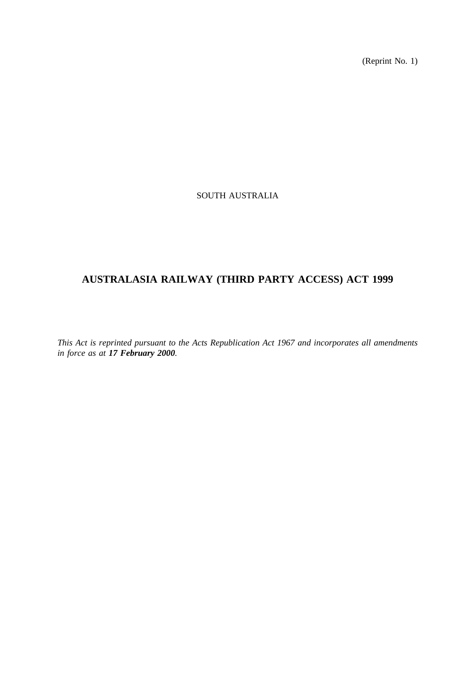(Reprint No. 1)

## SOUTH AUSTRALIA

# **AUSTRALASIA RAILWAY (THIRD PARTY ACCESS) ACT 1999**

*This Act is reprinted pursuant to the Acts Republication Act 1967 and incorporates all amendments in force as at 17 February 2000.*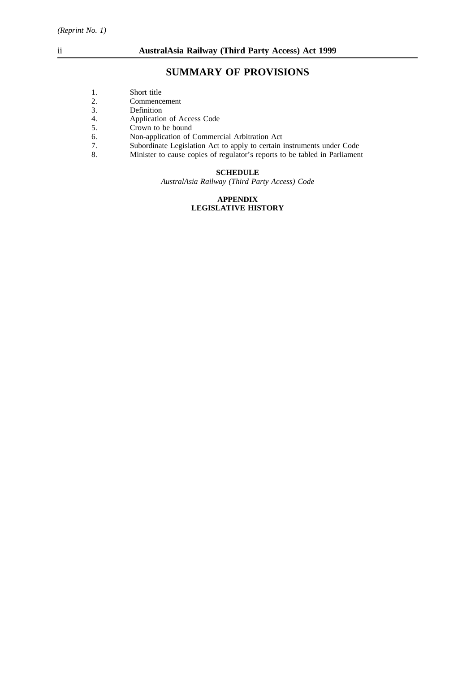# **SUMMARY OF PROVISIONS**

- 2. Commencement<br>3. Definition
- 3. Definition<br>4. Applicatio
- 4. Application of Access Code<br>5. Crown to be bound
- Crown to be bound
- 6. Non-application of Commercial Arbitration Act<br>
7. Subordinate Legislation Act to apply to certain i
- 7. Subordinate Legislation Act to apply to certain instruments under Code
- 8. Minister to cause copies of regulator's reports to be tabled in Parliament

## **SCHEDULE**

*AustralAsia Railway (Third Party Access) Code*

## **APPENDIX LEGISLATIVE HISTORY**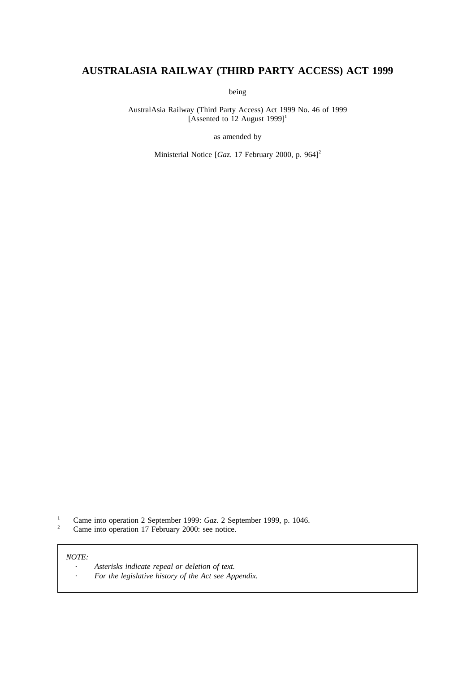# **AUSTRALASIA RAILWAY (THIRD PARTY ACCESS) ACT 1999**

being

AustralAsia Railway (Third Party Access) Act 1999 No. 46 of 1999 [Assented to 12 August  $1999$ ]<sup>1</sup>

as amended by

Ministerial Notice [*Gaz.* 17 February 2000, p. 964]<sup>2</sup>

<sup>1</sup> Came into operation 2 September 1999: *Gaz*. 2 September 1999, p. 1046.<br><sup>2</sup> Came into operation 17 February 2000: see notice

Came into operation 17 February 2000: see notice.

## *NOTE:*

*Asterisks indicate repeal or deletion of text.*  $\cdot$  $\ddot{\phantom{a}}$ *For the legislative history of the Act see Appendix.*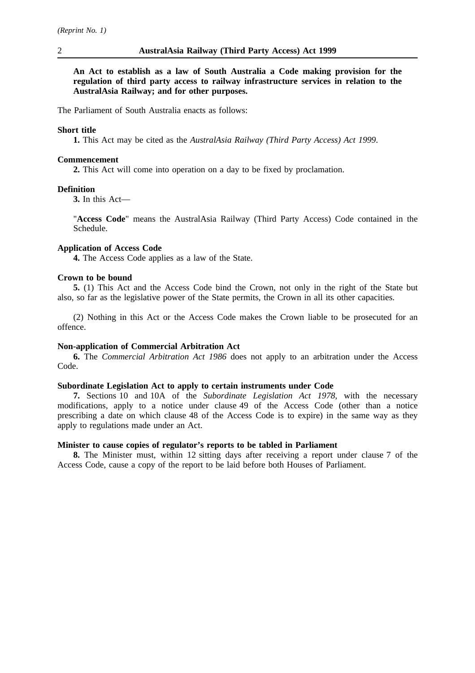**An Act to establish as a law of South Australia a Code making provision for the regulation of third party access to railway infrastructure services in relation to the AustralAsia Railway; and for other purposes.**

The Parliament of South Australia enacts as follows:

## **Short title**

**1.** This Act may be cited as the *AustralAsia Railway (Third Party Access) Act 1999*.

#### **Commencement**

**2.** This Act will come into operation on a day to be fixed by proclamation.

## **Definition**

**3.** In this Act—

"**Access Code**" means the AustralAsia Railway (Third Party Access) Code contained in the Schedule.

## **Application of Access Code**

**4.** The Access Code applies as a law of the State.

## **Crown to be bound**

**5.** (1) This Act and the Access Code bind the Crown, not only in the right of the State but also, so far as the legislative power of the State permits, the Crown in all its other capacities.

(2) Nothing in this Act or the Access Code makes the Crown liable to be prosecuted for an offence.

## **Non-application of Commercial Arbitration Act**

**6.** The *Commercial Arbitration Act 1986* does not apply to an arbitration under the Access Code.

## **Subordinate Legislation Act to apply to certain instruments under Code**

**7.** Sections 10 and 10A of the *Subordinate Legislation Act 1978*, with the necessary modifications, apply to a notice under clause 49 of the Access Code (other than a notice prescribing a date on which clause 48 of the Access Code is to expire) in the same way as they apply to regulations made under an Act.

## **Minister to cause copies of regulator's reports to be tabled in Parliament**

**8.** The Minister must, within 12 sitting days after receiving a report under clause 7 of the Access Code, cause a copy of the report to be laid before both Houses of Parliament.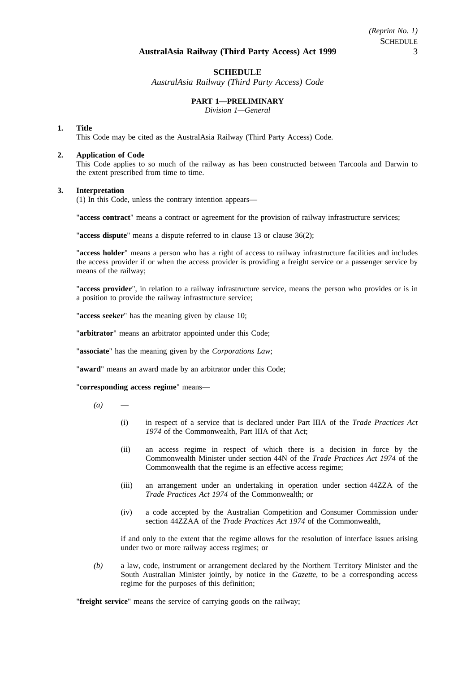## **SCHEDULE**

*AustralAsia Railway (Third Party Access) Code*

## **PART 1—PRELIMINARY**

*Division 1—General*

#### **1. Title**

This Code may be cited as the AustralAsia Railway (Third Party Access) Code.

## **2. Application of Code**

This Code applies to so much of the railway as has been constructed between Tarcoola and Darwin to the extent prescribed from time to time.

#### **3. Interpretation**

(1) In this Code, unless the contrary intention appears—

"**access contract**" means a contract or agreement for the provision of railway infrastructure services;

"**access dispute**" means a dispute referred to in clause 13 or clause 36(2);

"**access holder**" means a person who has a right of access to railway infrastructure facilities and includes the access provider if or when the access provider is providing a freight service or a passenger service by means of the railway;

"**access provider**", in relation to a railway infrastructure service, means the person who provides or is in a position to provide the railway infrastructure service;

"**access seeker**" has the meaning given by clause 10;

"**arbitrator**" means an arbitrator appointed under this Code;

"**associate**" has the meaning given by the *Corporations Law*;

"**award**" means an award made by an arbitrator under this Code;

"**corresponding access regime**" means—

 $(a)$ 

- (i) in respect of a service that is declared under Part IIIA of the *Trade Practices Act 1974* of the Commonwealth, Part IIIA of that Act;
- (ii) an access regime in respect of which there is a decision in force by the Commonwealth Minister under section 44N of the *Trade Practices Act 1974* of the Commonwealth that the regime is an effective access regime;
- (iii) an arrangement under an undertaking in operation under section 44ZZA of the *Trade Practices Act 1974* of the Commonwealth; or
- (iv) a code accepted by the Australian Competition and Consumer Commission under section 44ZZAA of the *Trade Practices Act 1974* of the Commonwealth,

if and only to the extent that the regime allows for the resolution of interface issues arising under two or more railway access regimes; or

*(b)* a law, code, instrument or arrangement declared by the Northern Territory Minister and the South Australian Minister jointly, by notice in the *Gazette*, to be a corresponding access regime for the purposes of this definition;

"**freight service**" means the service of carrying goods on the railway;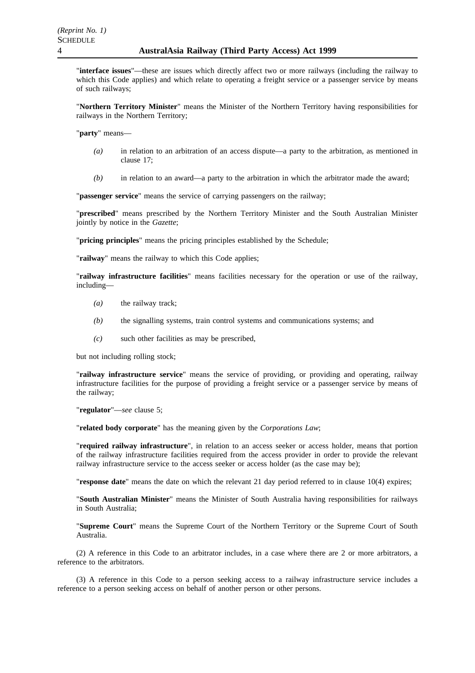"**interface issues**"—these are issues which directly affect two or more railways (including the railway to which this Code applies) and which relate to operating a freight service or a passenger service by means of such railways;

"**Northern Territory Minister**" means the Minister of the Northern Territory having responsibilities for railways in the Northern Territory;

"**party**" means—

- *(a)* in relation to an arbitration of an access dispute—a party to the arbitration, as mentioned in clause 17;
- *(b)* in relation to an award—a party to the arbitration in which the arbitrator made the award;

"**passenger service**" means the service of carrying passengers on the railway;

"**prescribed**" means prescribed by the Northern Territory Minister and the South Australian Minister jointly by notice in the *Gazette*;

"**pricing principles**" means the pricing principles established by the Schedule;

"**railway**" means the railway to which this Code applies;

"**railway infrastructure facilities**" means facilities necessary for the operation or use of the railway, including—

- *(a)* the railway track;
- *(b)* the signalling systems, train control systems and communications systems; and
- *(c)* such other facilities as may be prescribed,

but not including rolling stock;

"**railway infrastructure service**" means the service of providing, or providing and operating, railway infrastructure facilities for the purpose of providing a freight service or a passenger service by means of the railway;

"**regulator**"—*see* clause 5;

"**related body corporate**" has the meaning given by the *Corporations Law*;

"**required railway infrastructure**", in relation to an access seeker or access holder, means that portion of the railway infrastructure facilities required from the access provider in order to provide the relevant railway infrastructure service to the access seeker or access holder (as the case may be);

"**response date**" means the date on which the relevant 21 day period referred to in clause 10(4) expires;

"**South Australian Minister**" means the Minister of South Australia having responsibilities for railways in South Australia;

"**Supreme Court**" means the Supreme Court of the Northern Territory or the Supreme Court of South Australia.

(2) A reference in this Code to an arbitrator includes, in a case where there are 2 or more arbitrators, a reference to the arbitrators.

(3) A reference in this Code to a person seeking access to a railway infrastructure service includes a reference to a person seeking access on behalf of another person or other persons.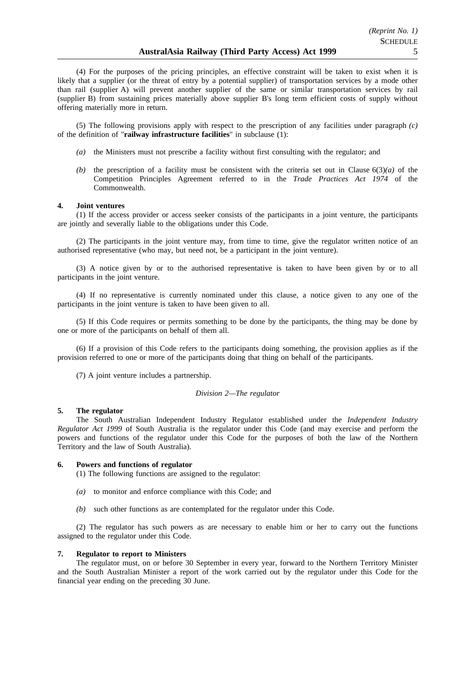(4) For the purposes of the pricing principles, an effective constraint will be taken to exist when it is likely that a supplier (or the threat of entry by a potential supplier) of transportation services by a mode other than rail (supplier A) will prevent another supplier of the same or similar transportation services by rail (supplier B) from sustaining prices materially above supplier B's long term efficient costs of supply without offering materially more in return.

(5) The following provisions apply with respect to the prescription of any facilities under paragraph *(c)* of the definition of "**railway infrastructure facilities**" in subclause (1):

- *(a)* the Ministers must not prescribe a facility without first consulting with the regulator; and
- *(b)* the prescription of a facility must be consistent with the criteria set out in Clause  $6(3)(a)$  of the Competition Principles Agreement referred to in the *Trade Practices Act 1974* of the Commonwealth.

#### **4. Joint ventures**

(1) If the access provider or access seeker consists of the participants in a joint venture, the participants are jointly and severally liable to the obligations under this Code.

(2) The participants in the joint venture may, from time to time, give the regulator written notice of an authorised representative (who may, but need not, be a participant in the joint venture).

(3) A notice given by or to the authorised representative is taken to have been given by or to all participants in the joint venture.

(4) If no representative is currently nominated under this clause, a notice given to any one of the participants in the joint venture is taken to have been given to all.

(5) If this Code requires or permits something to be done by the participants, the thing may be done by one or more of the participants on behalf of them all.

(6) If a provision of this Code refers to the participants doing something, the provision applies as if the provision referred to one or more of the participants doing that thing on behalf of the participants.

(7) A joint venture includes a partnership.

#### *Division 2—The regulator*

#### **5. The regulator**

The South Australian Independent Industry Regulator established under the *Independent Industry Regulator Act 1999* of South Australia is the regulator under this Code (and may exercise and perform the powers and functions of the regulator under this Code for the purposes of both the law of the Northern Territory and the law of South Australia).

## **6. Powers and functions of regulator**

(1) The following functions are assigned to the regulator:

- *(a)* to monitor and enforce compliance with this Code; and
- *(b)* such other functions as are contemplated for the regulator under this Code.

(2) The regulator has such powers as are necessary to enable him or her to carry out the functions assigned to the regulator under this Code.

### **7. Regulator to report to Ministers**

The regulator must, on or before 30 September in every year, forward to the Northern Territory Minister and the South Australian Minister a report of the work carried out by the regulator under this Code for the financial year ending on the preceding 30 June.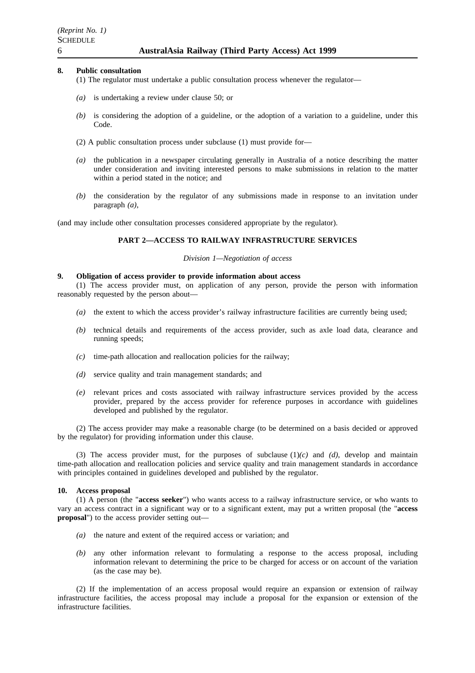## **8. Public consultation**

- (1) The regulator must undertake a public consultation process whenever the regulator—
- *(a)* is undertaking a review under clause 50; or
- *(b)* is considering the adoption of a guideline, or the adoption of a variation to a guideline, under this Code.
- (2) A public consultation process under subclause (1) must provide for—
- *(a)* the publication in a newspaper circulating generally in Australia of a notice describing the matter under consideration and inviting interested persons to make submissions in relation to the matter within a period stated in the notice; and
- *(b)* the consideration by the regulator of any submissions made in response to an invitation under paragraph *(a)*,

(and may include other consultation processes considered appropriate by the regulator).

## **PART 2—ACCESS TO RAILWAY INFRASTRUCTURE SERVICES**

## *Division 1—Negotiation of access*

## **9. Obligation of access provider to provide information about access**

(1) The access provider must, on application of any person, provide the person with information reasonably requested by the person about—

- *(a)* the extent to which the access provider's railway infrastructure facilities are currently being used;
- *(b)* technical details and requirements of the access provider, such as axle load data, clearance and running speeds;
- *(c)* time-path allocation and reallocation policies for the railway;
- *(d)* service quality and train management standards; and
- *(e)* relevant prices and costs associated with railway infrastructure services provided by the access provider, prepared by the access provider for reference purposes in accordance with guidelines developed and published by the regulator.

(2) The access provider may make a reasonable charge (to be determined on a basis decided or approved by the regulator) for providing information under this clause.

(3) The access provider must, for the purposes of subclause (1)*(c)* and *(d)*, develop and maintain time-path allocation and reallocation policies and service quality and train management standards in accordance with principles contained in guidelines developed and published by the regulator.

## **10. Access proposal**

(1) A person (the "**access seeker**") who wants access to a railway infrastructure service, or who wants to vary an access contract in a significant way or to a significant extent, may put a written proposal (the "**access proposal**") to the access provider setting out—

- *(a)* the nature and extent of the required access or variation; and
- *(b)* any other information relevant to formulating a response to the access proposal, including information relevant to determining the price to be charged for access or on account of the variation (as the case may be).

(2) If the implementation of an access proposal would require an expansion or extension of railway infrastructure facilities, the access proposal may include a proposal for the expansion or extension of the infrastructure facilities.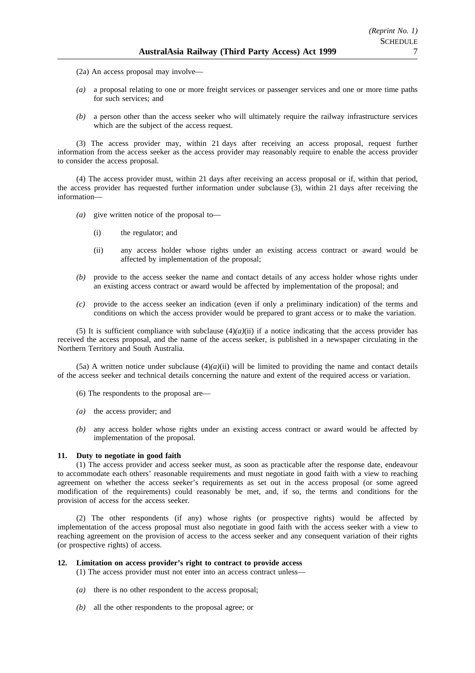- (2a) An access proposal may involve—
- *(a)* a proposal relating to one or more freight services or passenger services and one or more time paths for such services; and
- *(b)* a person other than the access seeker who will ultimately require the railway infrastructure services which are the subject of the access request.

(3) The access provider may, within 21 days after receiving an access proposal, request further information from the access seeker as the access provider may reasonably require to enable the access provider to consider the access proposal.

(4) The access provider must, within 21 days after receiving an access proposal or if, within that period, the access provider has requested further information under subclause (3), within 21 days after receiving the information—

- *(a)* give written notice of the proposal to—
	- (i) the regulator; and
	- (ii) any access holder whose rights under an existing access contract or award would be affected by implementation of the proposal;
- *(b)* provide to the access seeker the name and contact details of any access holder whose rights under an existing access contract or award would be affected by implementation of the proposal; and
- *(c)* provide to the access seeker an indication (even if only a preliminary indication) of the terms and conditions on which the access provider would be prepared to grant access or to make the variation.

(5) It is sufficient compliance with subclause  $(4)(a)(ii)$  if a notice indicating that the access provider has received the access proposal, and the name of the access seeker, is published in a newspaper circulating in the Northern Territory and South Australia.

(5a) A written notice under subclause  $(4)(a)(ii)$  will be limited to providing the name and contact details of the access seeker and technical details concerning the nature and extent of the required access or variation.

- (6) The respondents to the proposal are—
- *(a)* the access provider; and
- *(b)* any access holder whose rights under an existing access contract or award would be affected by implementation of the proposal.

#### **11. Duty to negotiate in good faith**

(1) The access provider and access seeker must, as soon as practicable after the response date, endeavour to accommodate each others' reasonable requirements and must negotiate in good faith with a view to reaching agreement on whether the access seeker's requirements as set out in the access proposal (or some agreed modification of the requirements) could reasonably be met, and, if so, the terms and conditions for the provision of access for the access seeker.

(2) The other respondents (if any) whose rights (or prospective rights) would be affected by implementation of the access proposal must also negotiate in good faith with the access seeker with a view to reaching agreement on the provision of access to the access seeker and any consequent variation of their rights (or prospective rights) of access.

### **12. Limitation on access provider's right to contract to provide access**

- (1) The access provider must not enter into an access contract unless—
- *(a)* there is no other respondent to the access proposal;
- *(b)* all the other respondents to the proposal agree; or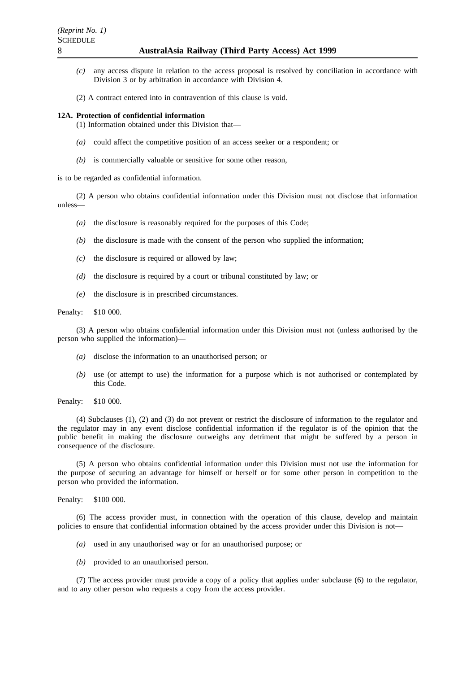- *(c)* any access dispute in relation to the access proposal is resolved by conciliation in accordance with Division 3 or by arbitration in accordance with Division 4.
- (2) A contract entered into in contravention of this clause is void.

### **12A. Protection of confidential information**

(1) Information obtained under this Division that—

- *(a)* could affect the competitive position of an access seeker or a respondent; or
- *(b)* is commercially valuable or sensitive for some other reason,

is to be regarded as confidential information.

(2) A person who obtains confidential information under this Division must not disclose that information unless—

- *(a)* the disclosure is reasonably required for the purposes of this Code;
- *(b)* the disclosure is made with the consent of the person who supplied the information;
- *(c)* the disclosure is required or allowed by law;
- *(d)* the disclosure is required by a court or tribunal constituted by law; or
- *(e)* the disclosure is in prescribed circumstances.

Penalty: \$10 000.

(3) A person who obtains confidential information under this Division must not (unless authorised by the person who supplied the information)—

- *(a)* disclose the information to an unauthorised person; or
- *(b)* use (or attempt to use) the information for a purpose which is not authorised or contemplated by this Code.

(4) Subclauses (1), (2) and (3) do not prevent or restrict the disclosure of information to the regulator and the regulator may in any event disclose confidential information if the regulator is of the opinion that the public benefit in making the disclosure outweighs any detriment that might be suffered by a person in consequence of the disclosure.

(5) A person who obtains confidential information under this Division must not use the information for the purpose of securing an advantage for himself or herself or for some other person in competition to the person who provided the information.

Penalty: \$100 000.

(6) The access provider must, in connection with the operation of this clause, develop and maintain policies to ensure that confidential information obtained by the access provider under this Division is not—

- *(a)* used in any unauthorised way or for an unauthorised purpose; or
- *(b)* provided to an unauthorised person.

(7) The access provider must provide a copy of a policy that applies under subclause (6) to the regulator, and to any other person who requests a copy from the access provider.

Penalty: \$10 000.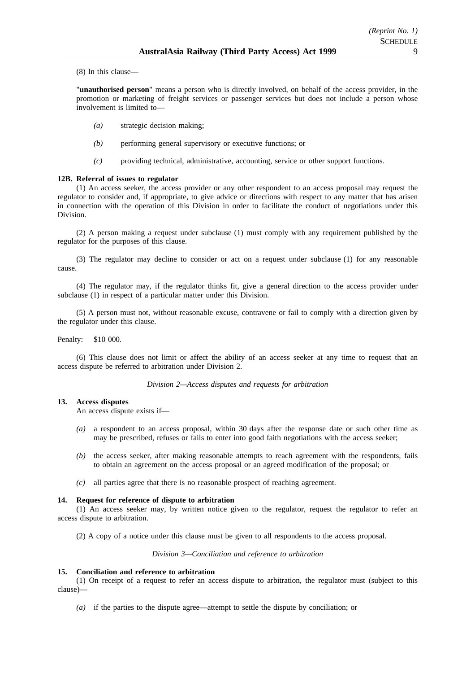(8) In this clause—

"**unauthorised person**" means a person who is directly involved, on behalf of the access provider, in the promotion or marketing of freight services or passenger services but does not include a person whose involvement is limited to—

- *(a)* strategic decision making;
- *(b)* performing general supervisory or executive functions; or
- *(c)* providing technical, administrative, accounting, service or other support functions.

## **12B. Referral of issues to regulator**

(1) An access seeker, the access provider or any other respondent to an access proposal may request the regulator to consider and, if appropriate, to give advice or directions with respect to any matter that has arisen in connection with the operation of this Division in order to facilitate the conduct of negotiations under this Division.

(2) A person making a request under subclause (1) must comply with any requirement published by the regulator for the purposes of this clause.

(3) The regulator may decline to consider or act on a request under subclause (1) for any reasonable cause.

(4) The regulator may, if the regulator thinks fit, give a general direction to the access provider under subclause (1) in respect of a particular matter under this Division.

(5) A person must not, without reasonable excuse, contravene or fail to comply with a direction given by the regulator under this clause.

Penalty: \$10 000.

(6) This clause does not limit or affect the ability of an access seeker at any time to request that an access dispute be referred to arbitration under Division 2.

## *Division 2—Access disputes and requests for arbitration*

## **13. Access disputes**

An access dispute exists if—

- *(a)* a respondent to an access proposal, within 30 days after the response date or such other time as may be prescribed, refuses or fails to enter into good faith negotiations with the access seeker;
- *(b)* the access seeker, after making reasonable attempts to reach agreement with the respondents, fails to obtain an agreement on the access proposal or an agreed modification of the proposal; or
- *(c)* all parties agree that there is no reasonable prospect of reaching agreement.

## **14. Request for reference of dispute to arbitration**

(1) An access seeker may, by written notice given to the regulator, request the regulator to refer an access dispute to arbitration.

(2) A copy of a notice under this clause must be given to all respondents to the access proposal.

*Division 3—Conciliation and reference to arbitration*

## **15. Conciliation and reference to arbitration**

(1) On receipt of a request to refer an access dispute to arbitration, the regulator must (subject to this clause)—

*(a)* if the parties to the dispute agree—attempt to settle the dispute by conciliation; or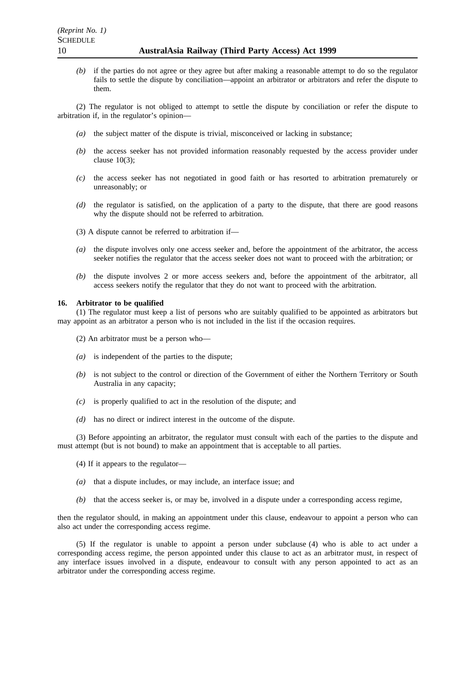*(b)* if the parties do not agree or they agree but after making a reasonable attempt to do so the regulator fails to settle the dispute by conciliation—appoint an arbitrator or arbitrators and refer the dispute to them.

(2) The regulator is not obliged to attempt to settle the dispute by conciliation or refer the dispute to arbitration if, in the regulator's opinion—

- *(a)* the subject matter of the dispute is trivial, misconceived or lacking in substance;
- *(b)* the access seeker has not provided information reasonably requested by the access provider under clause  $10(3)$ ;
- *(c)* the access seeker has not negotiated in good faith or has resorted to arbitration prematurely or unreasonably; or
- *(d)* the regulator is satisfied, on the application of a party to the dispute, that there are good reasons why the dispute should not be referred to arbitration.
- (3) A dispute cannot be referred to arbitration if—
- *(a)* the dispute involves only one access seeker and, before the appointment of the arbitrator, the access seeker notifies the regulator that the access seeker does not want to proceed with the arbitration; or
- *(b)* the dispute involves 2 or more access seekers and, before the appointment of the arbitrator, all access seekers notify the regulator that they do not want to proceed with the arbitration.

#### **16. Arbitrator to be qualified**

(1) The regulator must keep a list of persons who are suitably qualified to be appointed as arbitrators but may appoint as an arbitrator a person who is not included in the list if the occasion requires.

(2) An arbitrator must be a person who—

- *(a)* is independent of the parties to the dispute;
- *(b)* is not subject to the control or direction of the Government of either the Northern Territory or South Australia in any capacity;
- *(c)* is properly qualified to act in the resolution of the dispute; and
- *(d)* has no direct or indirect interest in the outcome of the dispute.

(3) Before appointing an arbitrator, the regulator must consult with each of the parties to the dispute and must attempt (but is not bound) to make an appointment that is acceptable to all parties.

- (4) If it appears to the regulator—
- *(a)* that a dispute includes, or may include, an interface issue; and
- *(b)* that the access seeker is, or may be, involved in a dispute under a corresponding access regime,

then the regulator should, in making an appointment under this clause, endeavour to appoint a person who can also act under the corresponding access regime.

(5) If the regulator is unable to appoint a person under subclause (4) who is able to act under a corresponding access regime, the person appointed under this clause to act as an arbitrator must, in respect of any interface issues involved in a dispute, endeavour to consult with any person appointed to act as an arbitrator under the corresponding access regime.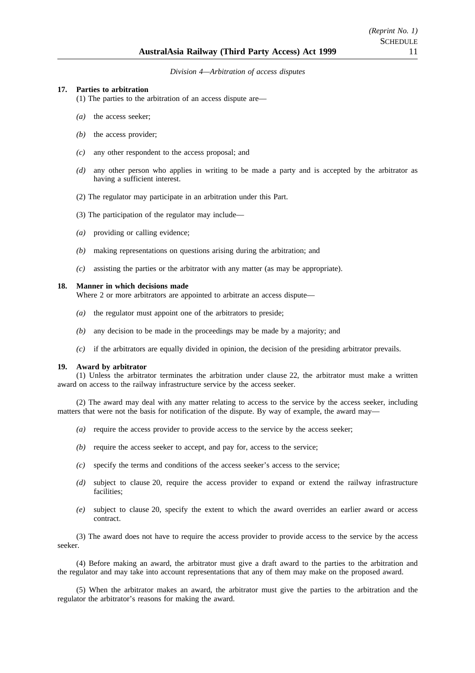### *Division 4—Arbitration of access disputes*

### **17. Parties to arbitration**

(1) The parties to the arbitration of an access dispute are—

- *(a)* the access seeker;
- *(b)* the access provider;
- *(c)* any other respondent to the access proposal; and
- *(d)* any other person who applies in writing to be made a party and is accepted by the arbitrator as having a sufficient interest.
- (2) The regulator may participate in an arbitration under this Part.
- (3) The participation of the regulator may include—
- *(a)* providing or calling evidence;
- *(b)* making representations on questions arising during the arbitration; and
- *(c)* assisting the parties or the arbitrator with any matter (as may be appropriate).

#### **18. Manner in which decisions made**

Where 2 or more arbitrators are appointed to arbitrate an access dispute—

- *(a)* the regulator must appoint one of the arbitrators to preside;
- *(b)* any decision to be made in the proceedings may be made by a majority; and
- *(c)* if the arbitrators are equally divided in opinion, the decision of the presiding arbitrator prevails.

### **19. Award by arbitrator**

(1) Unless the arbitrator terminates the arbitration under clause 22, the arbitrator must make a written award on access to the railway infrastructure service by the access seeker.

(2) The award may deal with any matter relating to access to the service by the access seeker, including matters that were not the basis for notification of the dispute. By way of example, the award may-

- *(a)* require the access provider to provide access to the service by the access seeker;
- *(b)* require the access seeker to accept, and pay for, access to the service;
- *(c)* specify the terms and conditions of the access seeker's access to the service;
- *(d)* subject to clause 20, require the access provider to expand or extend the railway infrastructure facilities;
- *(e)* subject to clause 20, specify the extent to which the award overrides an earlier award or access contract.

(3) The award does not have to require the access provider to provide access to the service by the access seeker.

(4) Before making an award, the arbitrator must give a draft award to the parties to the arbitration and the regulator and may take into account representations that any of them may make on the proposed award.

(5) When the arbitrator makes an award, the arbitrator must give the parties to the arbitration and the regulator the arbitrator's reasons for making the award.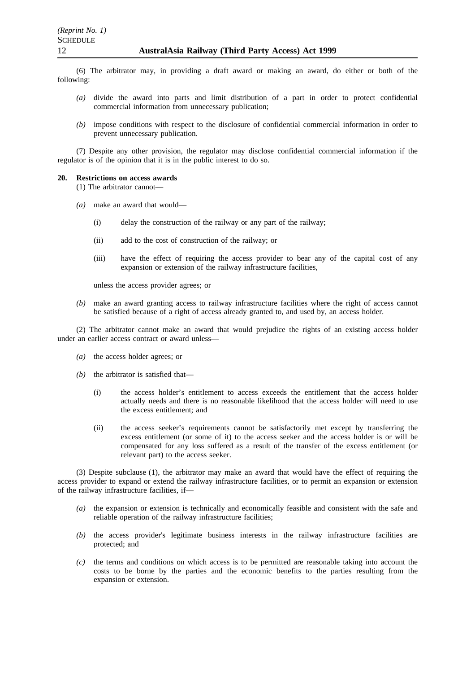(6) The arbitrator may, in providing a draft award or making an award, do either or both of the following:

- *(a)* divide the award into parts and limit distribution of a part in order to protect confidential commercial information from unnecessary publication;
- *(b)* impose conditions with respect to the disclosure of confidential commercial information in order to prevent unnecessary publication.

(7) Despite any other provision, the regulator may disclose confidential commercial information if the regulator is of the opinion that it is in the public interest to do so.

#### **20. Restrictions on access awards**

(1) The arbitrator cannot—

- *(a)* make an award that would—
	- (i) delay the construction of the railway or any part of the railway;
	- (ii) add to the cost of construction of the railway; or
	- (iii) have the effect of requiring the access provider to bear any of the capital cost of any expansion or extension of the railway infrastructure facilities,

unless the access provider agrees; or

*(b)* make an award granting access to railway infrastructure facilities where the right of access cannot be satisfied because of a right of access already granted to, and used by, an access holder.

(2) The arbitrator cannot make an award that would prejudice the rights of an existing access holder under an earlier access contract or award unless—

- *(a)* the access holder agrees; or
- *(b)* the arbitrator is satisfied that—
	- (i) the access holder's entitlement to access exceeds the entitlement that the access holder actually needs and there is no reasonable likelihood that the access holder will need to use the excess entitlement; and
	- (ii) the access seeker's requirements cannot be satisfactorily met except by transferring the excess entitlement (or some of it) to the access seeker and the access holder is or will be compensated for any loss suffered as a result of the transfer of the excess entitlement (or relevant part) to the access seeker.

(3) Despite subclause (1), the arbitrator may make an award that would have the effect of requiring the access provider to expand or extend the railway infrastructure facilities, or to permit an expansion or extension of the railway infrastructure facilities, if—

- *(a)* the expansion or extension is technically and economically feasible and consistent with the safe and reliable operation of the railway infrastructure facilities;
- *(b)* the access provider's legitimate business interests in the railway infrastructure facilities are protected; and
- *(c)* the terms and conditions on which access is to be permitted are reasonable taking into account the costs to be borne by the parties and the economic benefits to the parties resulting from the expansion or extension.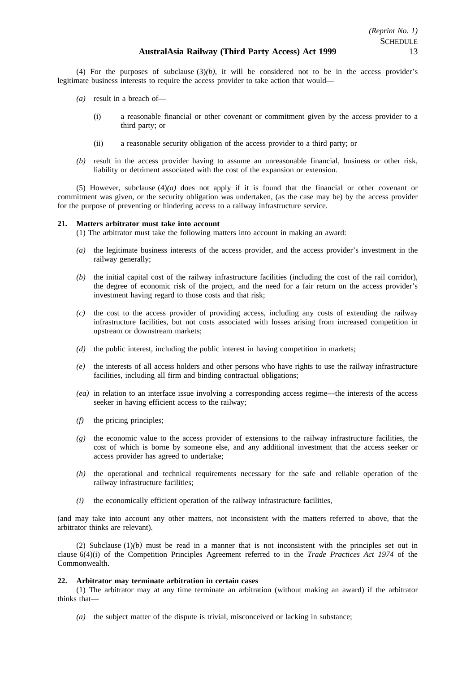(4) For the purposes of subclause  $(3)(b)$ , it will be considered not to be in the access provider's legitimate business interests to require the access provider to take action that would—

- *(a)* result in a breach of—
	- (i) a reasonable financial or other covenant or commitment given by the access provider to a third party; or
	- (ii) a reasonable security obligation of the access provider to a third party; or
- *(b)* result in the access provider having to assume an unreasonable financial, business or other risk, liability or detriment associated with the cost of the expansion or extension.

(5) However, subclause  $(4)(a)$  does not apply if it is found that the financial or other covenant or commitment was given, or the security obligation was undertaken, (as the case may be) by the access provider for the purpose of preventing or hindering access to a railway infrastructure service.

## **21. Matters arbitrator must take into account**

(1) The arbitrator must take the following matters into account in making an award:

- *(a)* the legitimate business interests of the access provider, and the access provider's investment in the railway generally;
- *(b)* the initial capital cost of the railway infrastructure facilities (including the cost of the rail corridor), the degree of economic risk of the project, and the need for a fair return on the access provider's investment having regard to those costs and that risk;
- *(c)* the cost to the access provider of providing access, including any costs of extending the railway infrastructure facilities, but not costs associated with losses arising from increased competition in upstream or downstream markets;
- *(d)* the public interest, including the public interest in having competition in markets;
- *(e)* the interests of all access holders and other persons who have rights to use the railway infrastructure facilities, including all firm and binding contractual obligations;
- *(ea)* in relation to an interface issue involving a corresponding access regime—the interests of the access seeker in having efficient access to the railway;
- *(f)* the pricing principles;
- *(g)* the economic value to the access provider of extensions to the railway infrastructure facilities, the cost of which is borne by someone else, and any additional investment that the access seeker or access provider has agreed to undertake;
- *(h)* the operational and technical requirements necessary for the safe and reliable operation of the railway infrastructure facilities;
- *(i)* the economically efficient operation of the railway infrastructure facilities,

(and may take into account any other matters, not inconsistent with the matters referred to above, that the arbitrator thinks are relevant).

(2) Subclause  $(1)(b)$  must be read in a manner that is not inconsistent with the principles set out in clause 6(4)(i) of the Competition Principles Agreement referred to in the *Trade Practices Act 1974* of the Commonwealth.

## **22. Arbitrator may terminate arbitration in certain cases**

(1) The arbitrator may at any time terminate an arbitration (without making an award) if the arbitrator thinks that—

*(a)* the subject matter of the dispute is trivial, misconceived or lacking in substance;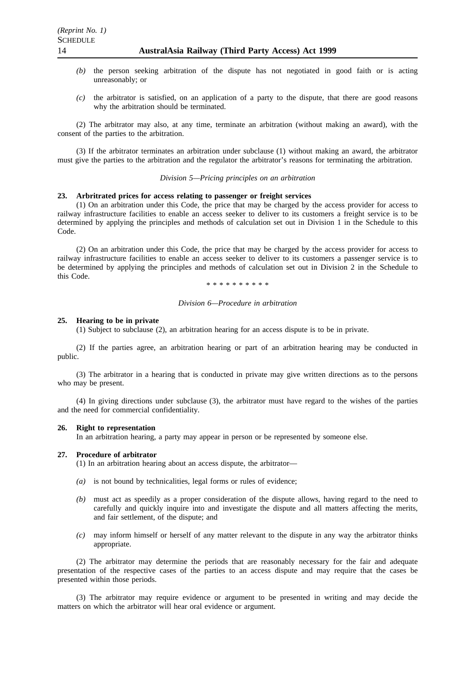- *(b)* the person seeking arbitration of the dispute has not negotiated in good faith or is acting unreasonably; or
- *(c)* the arbitrator is satisfied, on an application of a party to the dispute, that there are good reasons why the arbitration should be terminated.

(2) The arbitrator may also, at any time, terminate an arbitration (without making an award), with the consent of the parties to the arbitration.

(3) If the arbitrator terminates an arbitration under subclause (1) without making an award, the arbitrator must give the parties to the arbitration and the regulator the arbitrator's reasons for terminating the arbitration.

*Division 5—Pricing principles on an arbitration*

## **23. Arbritrated prices for access relating to passenger or freight services**

(1) On an arbitration under this Code, the price that may be charged by the access provider for access to railway infrastructure facilities to enable an access seeker to deliver to its customers a freight service is to be determined by applying the principles and methods of calculation set out in Division 1 in the Schedule to this Code.

(2) On an arbitration under this Code, the price that may be charged by the access provider for access to railway infrastructure facilities to enable an access seeker to deliver to its customers a passenger service is to be determined by applying the principles and methods of calculation set out in Division 2 in the Schedule to this Code.

\*\*\*\*\*\*\*\*\*\*

#### *Division 6—Procedure in arbitration*

#### **25. Hearing to be in private**

(1) Subject to subclause (2), an arbitration hearing for an access dispute is to be in private.

(2) If the parties agree, an arbitration hearing or part of an arbitration hearing may be conducted in public.

(3) The arbitrator in a hearing that is conducted in private may give written directions as to the persons who may be present.

(4) In giving directions under subclause (3), the arbitrator must have regard to the wishes of the parties and the need for commercial confidentiality.

#### **26. Right to representation**

In an arbitration hearing, a party may appear in person or be represented by someone else.

#### **27. Procedure of arbitrator**

(1) In an arbitration hearing about an access dispute, the arbitrator—

- *(a)* is not bound by technicalities, legal forms or rules of evidence;
- *(b)* must act as speedily as a proper consideration of the dispute allows, having regard to the need to carefully and quickly inquire into and investigate the dispute and all matters affecting the merits, and fair settlement, of the dispute; and
- *(c)* may inform himself or herself of any matter relevant to the dispute in any way the arbitrator thinks appropriate.

(2) The arbitrator may determine the periods that are reasonably necessary for the fair and adequate presentation of the respective cases of the parties to an access dispute and may require that the cases be presented within those periods.

(3) The arbitrator may require evidence or argument to be presented in writing and may decide the matters on which the arbitrator will hear oral evidence or argument.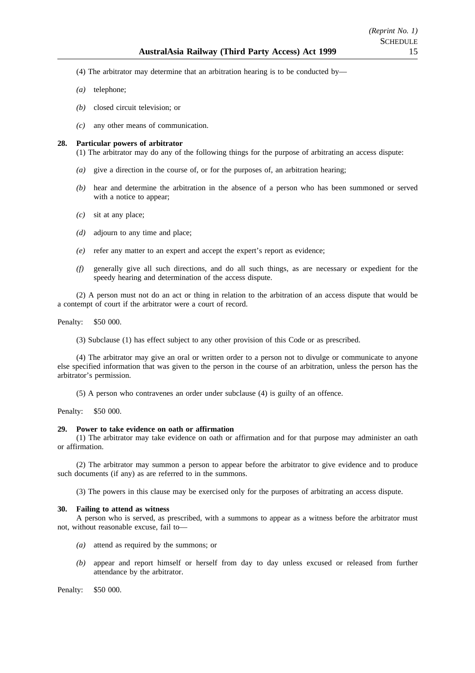- (4) The arbitrator may determine that an arbitration hearing is to be conducted by—
- *(a)* telephone;
- *(b)* closed circuit television; or
- *(c)* any other means of communication.

### **28. Particular powers of arbitrator**

(1) The arbitrator may do any of the following things for the purpose of arbitrating an access dispute:

- *(a)* give a direction in the course of, or for the purposes of, an arbitration hearing;
- *(b)* hear and determine the arbitration in the absence of a person who has been summoned or served with a notice to appear;
- *(c)* sit at any place;
- *(d)* adjourn to any time and place;
- *(e)* refer any matter to an expert and accept the expert's report as evidence;
- *(f)* generally give all such directions, and do all such things, as are necessary or expedient for the speedy hearing and determination of the access dispute.

(2) A person must not do an act or thing in relation to the arbitration of an access dispute that would be a contempt of court if the arbitrator were a court of record.

Penalty: \$50 000.

(3) Subclause (1) has effect subject to any other provision of this Code or as prescribed.

(4) The arbitrator may give an oral or written order to a person not to divulge or communicate to anyone else specified information that was given to the person in the course of an arbitration, unless the person has the arbitrator's permission.

(5) A person who contravenes an order under subclause (4) is guilty of an offence.

Penalty: \$50 000.

#### **29. Power to take evidence on oath or affirmation**

(1) The arbitrator may take evidence on oath or affirmation and for that purpose may administer an oath or affirmation.

(2) The arbitrator may summon a person to appear before the arbitrator to give evidence and to produce such documents (if any) as are referred to in the summons.

(3) The powers in this clause may be exercised only for the purposes of arbitrating an access dispute.

#### **30. Failing to attend as witness**

A person who is served, as prescribed, with a summons to appear as a witness before the arbitrator must not, without reasonable excuse, fail to—

- *(a)* attend as required by the summons; or
- *(b)* appear and report himself or herself from day to day unless excused or released from further attendance by the arbitrator.

Penalty: \$50 000.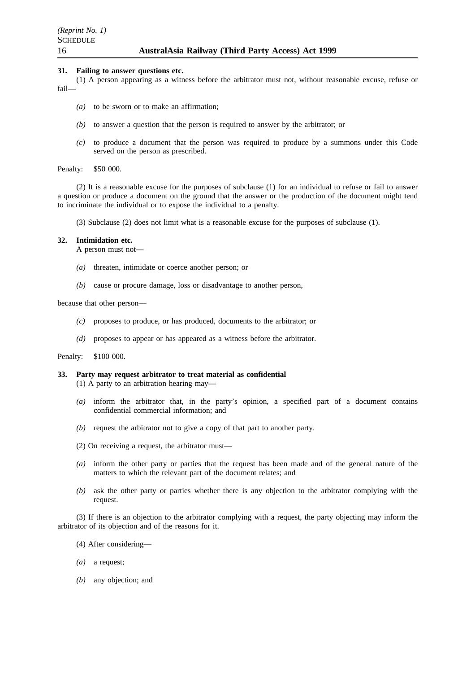## **31. Failing to answer questions etc.**

(1) A person appearing as a witness before the arbitrator must not, without reasonable excuse, refuse or fail—

- *(a)* to be sworn or to make an affirmation;
- *(b)* to answer a question that the person is required to answer by the arbitrator; or
- *(c)* to produce a document that the person was required to produce by a summons under this Code served on the person as prescribed.

#### Penalty: \$50 000.

(2) It is a reasonable excuse for the purposes of subclause (1) for an individual to refuse or fail to answer a question or produce a document on the ground that the answer or the production of the document might tend to incriminate the individual or to expose the individual to a penalty.

(3) Subclause (2) does not limit what is a reasonable excuse for the purposes of subclause (1).

## **32. Intimidation etc.**

A person must not—

- *(a)* threaten, intimidate or coerce another person; or
- *(b)* cause or procure damage, loss or disadvantage to another person,

because that other person—

- *(c)* proposes to produce, or has produced, documents to the arbitrator; or
- *(d)* proposes to appear or has appeared as a witness before the arbitrator.

Penalty: \$100 000.

## **33. Party may request arbitrator to treat material as confidential**

(1) A party to an arbitration hearing may—

- *(a)* inform the arbitrator that, in the party's opinion, a specified part of a document contains confidential commercial information; and
- *(b)* request the arbitrator not to give a copy of that part to another party.
- (2) On receiving a request, the arbitrator must—
- *(a)* inform the other party or parties that the request has been made and of the general nature of the matters to which the relevant part of the document relates; and
- *(b)* ask the other party or parties whether there is any objection to the arbitrator complying with the request.

(3) If there is an objection to the arbitrator complying with a request, the party objecting may inform the arbitrator of its objection and of the reasons for it.

- (4) After considering—
- *(a)* a request;
- *(b)* any objection; and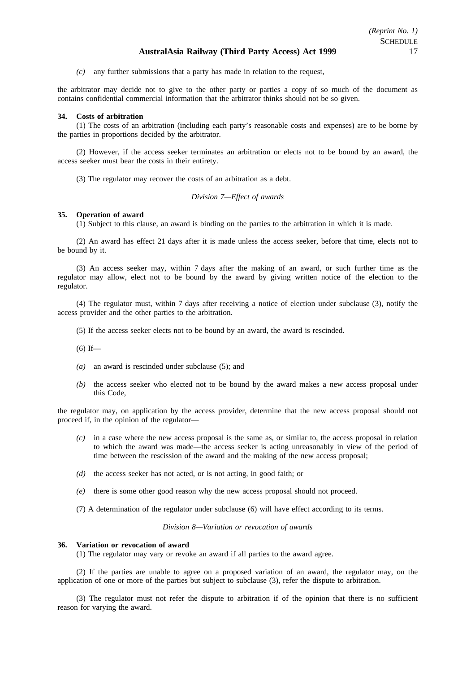*(c)* any further submissions that a party has made in relation to the request,

the arbitrator may decide not to give to the other party or parties a copy of so much of the document as contains confidential commercial information that the arbitrator thinks should not be so given.

#### **34. Costs of arbitration**

(1) The costs of an arbitration (including each party's reasonable costs and expenses) are to be borne by the parties in proportions decided by the arbitrator.

(2) However, if the access seeker terminates an arbitration or elects not to be bound by an award, the access seeker must bear the costs in their entirety.

(3) The regulator may recover the costs of an arbitration as a debt.

*Division 7—Effect of awards*

### **35. Operation of award**

(1) Subject to this clause, an award is binding on the parties to the arbitration in which it is made.

(2) An award has effect 21 days after it is made unless the access seeker, before that time, elects not to be bound by it.

(3) An access seeker may, within 7 days after the making of an award, or such further time as the regulator may allow, elect not to be bound by the award by giving written notice of the election to the regulator.

(4) The regulator must, within 7 days after receiving a notice of election under subclause (3), notify the access provider and the other parties to the arbitration.

(5) If the access seeker elects not to be bound by an award, the award is rescinded.

 $(6)$  If—

- *(a)* an award is rescinded under subclause (5); and
- *(b)* the access seeker who elected not to be bound by the award makes a new access proposal under this Code,

the regulator may, on application by the access provider, determine that the new access proposal should not proceed if, in the opinion of the regulator—

- *(c)* in a case where the new access proposal is the same as, or similar to, the access proposal in relation to which the award was made—the access seeker is acting unreasonably in view of the period of time between the rescission of the award and the making of the new access proposal;
- *(d)* the access seeker has not acted, or is not acting, in good faith; or
- *(e)* there is some other good reason why the new access proposal should not proceed.
- (7) A determination of the regulator under subclause (6) will have effect according to its terms.

*Division 8—Variation or revocation of awards*

#### **36. Variation or revocation of award**

(1) The regulator may vary or revoke an award if all parties to the award agree.

(2) If the parties are unable to agree on a proposed variation of an award, the regulator may, on the application of one or more of the parties but subject to subclause (3), refer the dispute to arbitration.

(3) The regulator must not refer the dispute to arbitration if of the opinion that there is no sufficient reason for varying the award.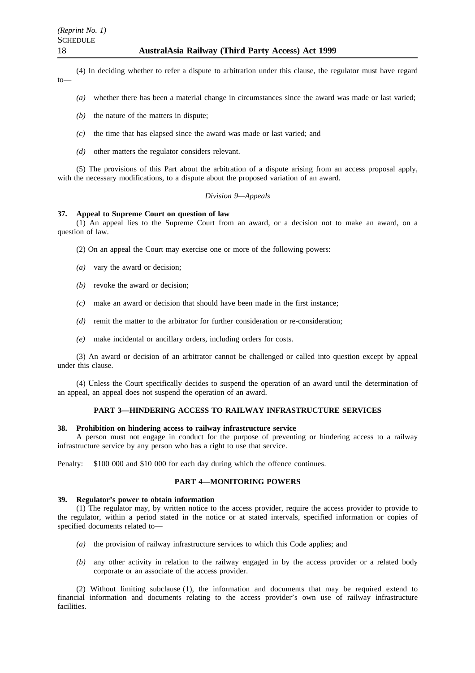(4) In deciding whether to refer a dispute to arbitration under this clause, the regulator must have regard to—

- *(a)* whether there has been a material change in circumstances since the award was made or last varied;
- *(b)* the nature of the matters in dispute;
- *(c)* the time that has elapsed since the award was made or last varied; and
- *(d)* other matters the regulator considers relevant.

(5) The provisions of this Part about the arbitration of a dispute arising from an access proposal apply, with the necessary modifications, to a dispute about the proposed variation of an award.

## *Division 9—Appeals*

## **37. Appeal to Supreme Court on question of law**

(1) An appeal lies to the Supreme Court from an award, or a decision not to make an award, on a question of law.

- (2) On an appeal the Court may exercise one or more of the following powers:
- *(a)* vary the award or decision;
- *(b)* revoke the award or decision;
- *(c)* make an award or decision that should have been made in the first instance;
- *(d)* remit the matter to the arbitrator for further consideration or re-consideration:
- *(e)* make incidental or ancillary orders, including orders for costs.

(3) An award or decision of an arbitrator cannot be challenged or called into question except by appeal under this clause.

(4) Unless the Court specifically decides to suspend the operation of an award until the determination of an appeal, an appeal does not suspend the operation of an award.

## **PART 3—HINDERING ACCESS TO RAILWAY INFRASTRUCTURE SERVICES**

#### **38. Prohibition on hindering access to railway infrastructure service**

A person must not engage in conduct for the purpose of preventing or hindering access to a railway infrastructure service by any person who has a right to use that service.

Penalty: \$100 000 and \$10 000 for each day during which the offence continues.

#### **PART 4—MONITORING POWERS**

#### **39. Regulator's power to obtain information**

(1) The regulator may, by written notice to the access provider, require the access provider to provide to the regulator, within a period stated in the notice or at stated intervals, specified information or copies of specified documents related to—

- *(a)* the provision of railway infrastructure services to which this Code applies; and
- *(b)* any other activity in relation to the railway engaged in by the access provider or a related body corporate or an associate of the access provider.

(2) Without limiting subclause (1), the information and documents that may be required extend to financial information and documents relating to the access provider's own use of railway infrastructure facilities.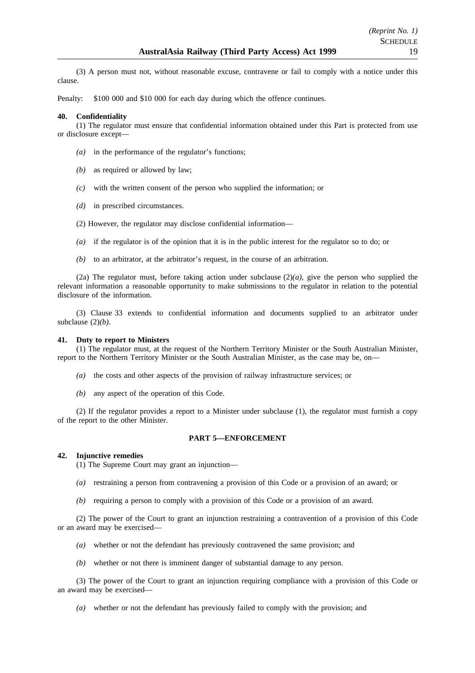(3) A person must not, without reasonable excuse, contravene or fail to comply with a notice under this clause.

Penalty: \$100 000 and \$10 000 for each day during which the offence continues.

## **40. Confidentiality**

(1) The regulator must ensure that confidential information obtained under this Part is protected from use or disclosure except—

- *(a)* in the performance of the regulator's functions;
- *(b)* as required or allowed by law;
- *(c)* with the written consent of the person who supplied the information; or
- *(d)* in prescribed circumstances.
- (2) However, the regulator may disclose confidential information—
- *(a)* if the regulator is of the opinion that it is in the public interest for the regulator so to do; or
- *(b)* to an arbitrator, at the arbitrator's request, in the course of an arbitration.

(2a) The regulator must, before taking action under subclause (2)*(a)*, give the person who supplied the relevant information a reasonable opportunity to make submissions to the regulator in relation to the potential disclosure of the information.

(3) Clause 33 extends to confidential information and documents supplied to an arbitrator under subclause  $(2)(b)$ .

## **41. Duty to report to Ministers**

(1) The regulator must, at the request of the Northern Territory Minister or the South Australian Minister, report to the Northern Territory Minister or the South Australian Minister, as the case may be, on—

- *(a)* the costs and other aspects of the provision of railway infrastructure services; or
- *(b)* any aspect of the operation of this Code.

(2) If the regulator provides a report to a Minister under subclause (1), the regulator must furnish a copy of the report to the other Minister.

## **PART 5—ENFORCEMENT**

## **42. Injunctive remedies**

(1) The Supreme Court may grant an injunction—

- *(a)* restraining a person from contravening a provision of this Code or a provision of an award; or
- *(b)* requiring a person to comply with a provision of this Code or a provision of an award.

(2) The power of the Court to grant an injunction restraining a contravention of a provision of this Code or an award may be exercised—

- *(a)* whether or not the defendant has previously contravened the same provision; and
- *(b)* whether or not there is imminent danger of substantial damage to any person.

(3) The power of the Court to grant an injunction requiring compliance with a provision of this Code or an award may be exercised—

*(a)* whether or not the defendant has previously failed to comply with the provision; and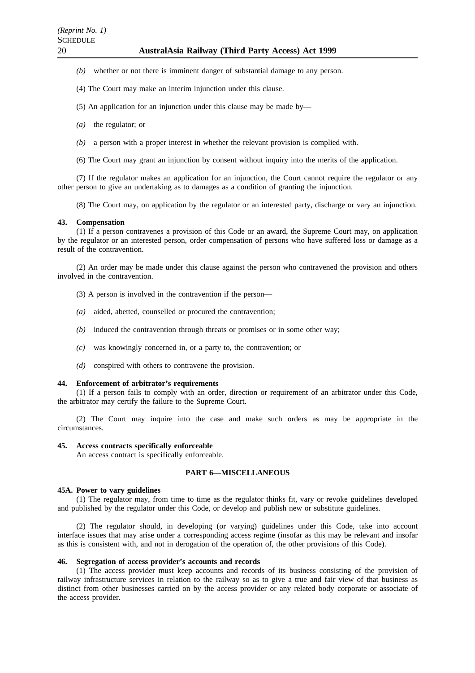- *(b)* whether or not there is imminent danger of substantial damage to any person.
- (4) The Court may make an interim injunction under this clause.
- (5) An application for an injunction under this clause may be made by—
- *(a)* the regulator; or
- *(b)* a person with a proper interest in whether the relevant provision is complied with.
- (6) The Court may grant an injunction by consent without inquiry into the merits of the application.

(7) If the regulator makes an application for an injunction, the Court cannot require the regulator or any other person to give an undertaking as to damages as a condition of granting the injunction.

(8) The Court may, on application by the regulator or an interested party, discharge or vary an injunction.

### **43. Compensation**

(1) If a person contravenes a provision of this Code or an award, the Supreme Court may, on application by the regulator or an interested person, order compensation of persons who have suffered loss or damage as a result of the contravention.

(2) An order may be made under this clause against the person who contravened the provision and others involved in the contravention.

- (3) A person is involved in the contravention if the person—
- *(a)* aided, abetted, counselled or procured the contravention;
- *(b)* induced the contravention through threats or promises or in some other way;
- *(c)* was knowingly concerned in, or a party to, the contravention; or
- *(d)* conspired with others to contravene the provision.

#### **44. Enforcement of arbitrator's requirements**

(1) If a person fails to comply with an order, direction or requirement of an arbitrator under this Code, the arbitrator may certify the failure to the Supreme Court.

(2) The Court may inquire into the case and make such orders as may be appropriate in the circumstances.

#### **45. Access contracts specifically enforceable**

An access contract is specifically enforceable.

#### **PART 6—MISCELLANEOUS**

#### **45A. Power to vary guidelines**

(1) The regulator may, from time to time as the regulator thinks fit, vary or revoke guidelines developed and published by the regulator under this Code, or develop and publish new or substitute guidelines.

(2) The regulator should, in developing (or varying) guidelines under this Code, take into account interface issues that may arise under a corresponding access regime (insofar as this may be relevant and insofar as this is consistent with, and not in derogation of the operation of, the other provisions of this Code).

#### **46. Segregation of access provider's accounts and records**

(1) The access provider must keep accounts and records of its business consisting of the provision of railway infrastructure services in relation to the railway so as to give a true and fair view of that business as distinct from other businesses carried on by the access provider or any related body corporate or associate of the access provider.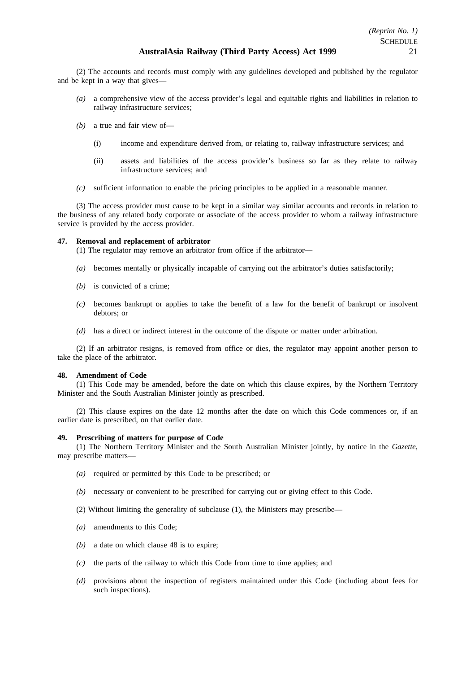(2) The accounts and records must comply with any guidelines developed and published by the regulator and be kept in a way that gives—

- *(a)* a comprehensive view of the access provider's legal and equitable rights and liabilities in relation to railway infrastructure services;
- *(b)* a true and fair view of—
	- (i) income and expenditure derived from, or relating to, railway infrastructure services; and
	- (ii) assets and liabilities of the access provider's business so far as they relate to railway infrastructure services; and
- *(c)* sufficient information to enable the pricing principles to be applied in a reasonable manner.

(3) The access provider must cause to be kept in a similar way similar accounts and records in relation to the business of any related body corporate or associate of the access provider to whom a railway infrastructure service is provided by the access provider.

## **47. Removal and replacement of arbitrator**

(1) The regulator may remove an arbitrator from office if the arbitrator—

- *(a)* becomes mentally or physically incapable of carrying out the arbitrator's duties satisfactorily;
- *(b)* is convicted of a crime;
- *(c)* becomes bankrupt or applies to take the benefit of a law for the benefit of bankrupt or insolvent debtors; or
- *(d)* has a direct or indirect interest in the outcome of the dispute or matter under arbitration.

(2) If an arbitrator resigns, is removed from office or dies, the regulator may appoint another person to take the place of the arbitrator.

## **48. Amendment of Code**

(1) This Code may be amended, before the date on which this clause expires, by the Northern Territory Minister and the South Australian Minister jointly as prescribed.

(2) This clause expires on the date 12 months after the date on which this Code commences or, if an earlier date is prescribed, on that earlier date.

## **49. Prescribing of matters for purpose of Code**

(1) The Northern Territory Minister and the South Australian Minister jointly, by notice in the *Gazette*, may prescribe matters-

- *(a)* required or permitted by this Code to be prescribed; or
- *(b)* necessary or convenient to be prescribed for carrying out or giving effect to this Code.
- (2) Without limiting the generality of subclause (1), the Ministers may prescribe—
- *(a)* amendments to this Code;
- *(b)* a date on which clause 48 is to expire;
- *(c)* the parts of the railway to which this Code from time to time applies; and
- *(d)* provisions about the inspection of registers maintained under this Code (including about fees for such inspections).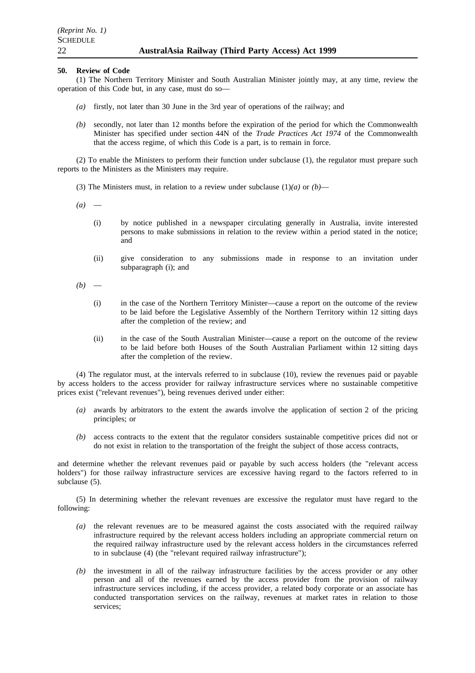### **50. Review of Code**

(1) The Northern Territory Minister and South Australian Minister jointly may, at any time, review the operation of this Code but, in any case, must do so—

- *(a)* firstly, not later than 30 June in the 3rd year of operations of the railway; and
- *(b)* secondly, not later than 12 months before the expiration of the period for which the Commonwealth Minister has specified under section 44N of the *Trade Practices Act 1974* of the Commonwealth that the access regime, of which this Code is a part, is to remain in force.

(2) To enable the Ministers to perform their function under subclause (1), the regulator must prepare such reports to the Ministers as the Ministers may require.

(3) The Ministers must, in relation to a review under subclause  $(1)(a)$  or  $(b)$ —

 $(a)$  —

- (i) by notice published in a newspaper circulating generally in Australia, invite interested persons to make submissions in relation to the review within a period stated in the notice; and
- (ii) give consideration to any submissions made in response to an invitation under subparagraph (i); and
- $(b)$ 
	- (i) in the case of the Northern Territory Minister—cause a report on the outcome of the review to be laid before the Legislative Assembly of the Northern Territory within 12 sitting days after the completion of the review; and
	- (ii) in the case of the South Australian Minister—cause a report on the outcome of the review to be laid before both Houses of the South Australian Parliament within 12 sitting days after the completion of the review.

(4) The regulator must, at the intervals referred to in subclause (10), review the revenues paid or payable by access holders to the access provider for railway infrastructure services where no sustainable competitive prices exist ("relevant revenues"), being revenues derived under either:

- *(a)* awards by arbitrators to the extent the awards involve the application of section 2 of the pricing principles; or
- *(b)* access contracts to the extent that the regulator considers sustainable competitive prices did not or do not exist in relation to the transportation of the freight the subject of those access contracts,

and determine whether the relevant revenues paid or payable by such access holders (the "relevant access holders") for those railway infrastructure services are excessive having regard to the factors referred to in subclause (5).

(5) In determining whether the relevant revenues are excessive the regulator must have regard to the following:

- *(a)* the relevant revenues are to be measured against the costs associated with the required railway infrastructure required by the relevant access holders including an appropriate commercial return on the required railway infrastructure used by the relevant access holders in the circumstances referred to in subclause (4) (the "relevant required railway infrastructure");
- *(b)* the investment in all of the railway infrastructure facilities by the access provider or any other person and all of the revenues earned by the access provider from the provision of railway infrastructure services including, if the access provider, a related body corporate or an associate has conducted transportation services on the railway, revenues at market rates in relation to those services;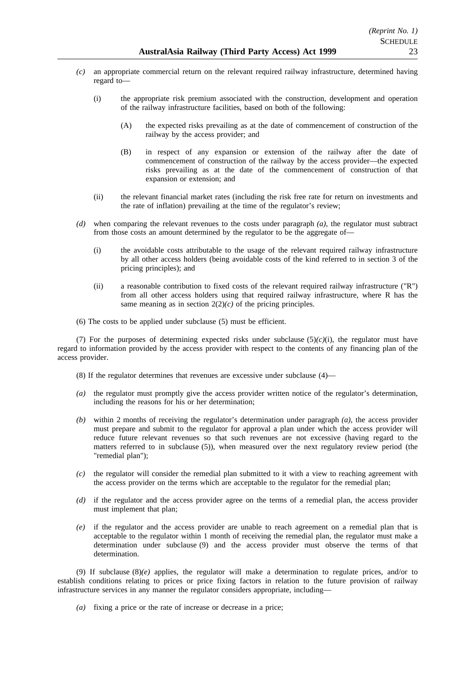- *(c)* an appropriate commercial return on the relevant required railway infrastructure, determined having regard to—
	- (i) the appropriate risk premium associated with the construction, development and operation of the railway infrastructure facilities, based on both of the following:
		- (A) the expected risks prevailing as at the date of commencement of construction of the railway by the access provider; and
		- (B) in respect of any expansion or extension of the railway after the date of commencement of construction of the railway by the access provider—the expected risks prevailing as at the date of the commencement of construction of that expansion or extension; and
	- (ii) the relevant financial market rates (including the risk free rate for return on investments and the rate of inflation) prevailing at the time of the regulator's review;
- *(d)* when comparing the relevant revenues to the costs under paragraph *(a)*, the regulator must subtract from those costs an amount determined by the regulator to be the aggregate of—
	- (i) the avoidable costs attributable to the usage of the relevant required railway infrastructure by all other access holders (being avoidable costs of the kind referred to in section 3 of the pricing principles); and
	- (ii) a reasonable contribution to fixed costs of the relevant required railway infrastructure ("R") from all other access holders using that required railway infrastructure, where R has the same meaning as in section  $2(2)(c)$  of the pricing principles.
- (6) The costs to be applied under subclause (5) must be efficient.

(7) For the purposes of determining expected risks under subclause  $(5)(c)(i)$ , the regulator must have regard to information provided by the access provider with respect to the contents of any financing plan of the access provider.

- (8) If the regulator determines that revenues are excessive under subclause (4)—
- *(a)* the regulator must promptly give the access provider written notice of the regulator's determination, including the reasons for his or her determination;
- *(b)* within 2 months of receiving the regulator's determination under paragraph *(a)*, the access provider must prepare and submit to the regulator for approval a plan under which the access provider will reduce future relevant revenues so that such revenues are not excessive (having regard to the matters referred to in subclause (5)), when measured over the next regulatory review period (the "remedial plan");
- *(c)* the regulator will consider the remedial plan submitted to it with a view to reaching agreement with the access provider on the terms which are acceptable to the regulator for the remedial plan;
- *(d)* if the regulator and the access provider agree on the terms of a remedial plan, the access provider must implement that plan;
- *(e)* if the regulator and the access provider are unable to reach agreement on a remedial plan that is acceptable to the regulator within 1 month of receiving the remedial plan, the regulator must make a determination under subclause (9) and the access provider must observe the terms of that determination.

(9) If subclause  $(8)(e)$  applies, the regulator will make a determination to regulate prices, and/or to establish conditions relating to prices or price fixing factors in relation to the future provision of railway infrastructure services in any manner the regulator considers appropriate, including—

*(a)* fixing a price or the rate of increase or decrease in a price;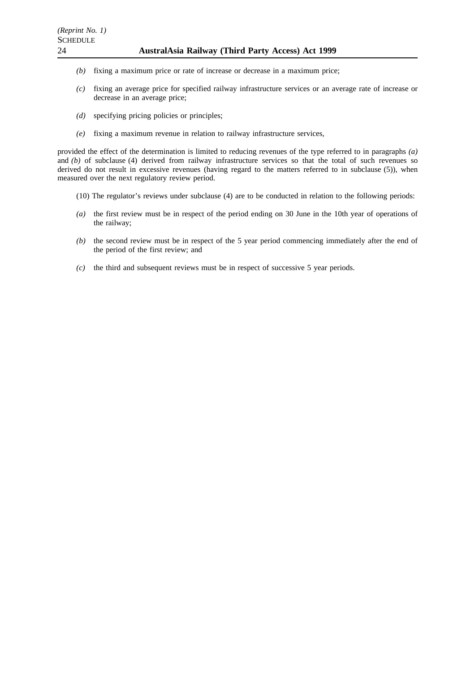- *(b)* fixing a maximum price or rate of increase or decrease in a maximum price;
- *(c)* fixing an average price for specified railway infrastructure services or an average rate of increase or decrease in an average price;
- *(d)* specifying pricing policies or principles;
- *(e)* fixing a maximum revenue in relation to railway infrastructure services,

provided the effect of the determination is limited to reducing revenues of the type referred to in paragraphs *(a)* and *(b)* of subclause (4) derived from railway infrastructure services so that the total of such revenues so derived do not result in excessive revenues (having regard to the matters referred to in subclause (5)), when measured over the next regulatory review period.

- (10) The regulator's reviews under subclause (4) are to be conducted in relation to the following periods:
- *(a)* the first review must be in respect of the period ending on 30 June in the 10th year of operations of the railway;
- *(b)* the second review must be in respect of the 5 year period commencing immediately after the end of the period of the first review; and
- *(c)* the third and subsequent reviews must be in respect of successive 5 year periods.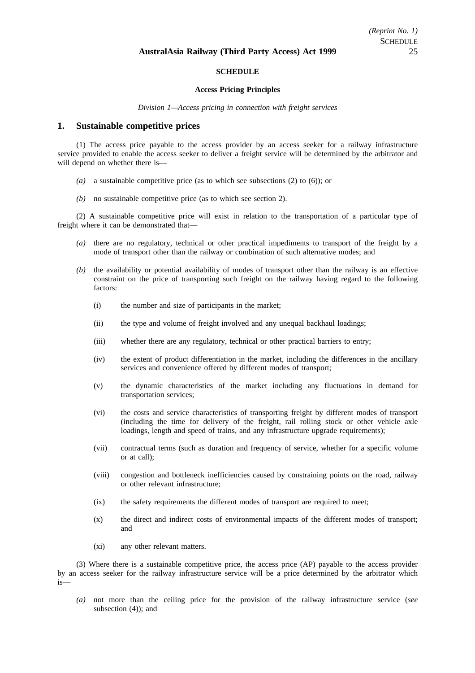## **SCHEDULE**

#### **Access Pricing Principles**

*Division 1—Access pricing in connection with freight services*

## **1. Sustainable competitive prices**

(1) The access price payable to the access provider by an access seeker for a railway infrastructure service provided to enable the access seeker to deliver a freight service will be determined by the arbitrator and will depend on whether there is—

- *(a)* a sustainable competitive price (as to which see subsections (2) to (6)); or
- *(b)* no sustainable competitive price (as to which see section 2).

(2) A sustainable competitive price will exist in relation to the transportation of a particular type of freight where it can be demonstrated that—

- *(a)* there are no regulatory, technical or other practical impediments to transport of the freight by a mode of transport other than the railway or combination of such alternative modes; and
- *(b)* the availability or potential availability of modes of transport other than the railway is an effective constraint on the price of transporting such freight on the railway having regard to the following factors:
	- (i) the number and size of participants in the market;
	- (ii) the type and volume of freight involved and any unequal backhaul loadings;
	- (iii) whether there are any regulatory, technical or other practical barriers to entry;
	- (iv) the extent of product differentiation in the market, including the differences in the ancillary services and convenience offered by different modes of transport;
	- (v) the dynamic characteristics of the market including any fluctuations in demand for transportation services;
	- (vi) the costs and service characteristics of transporting freight by different modes of transport (including the time for delivery of the freight, rail rolling stock or other vehicle axle loadings, length and speed of trains, and any infrastructure upgrade requirements);
	- (vii) contractual terms (such as duration and frequency of service, whether for a specific volume or at call);
	- (viii) congestion and bottleneck inefficiencies caused by constraining points on the road, railway or other relevant infrastructure;
	- (ix) the safety requirements the different modes of transport are required to meet;
	- (x) the direct and indirect costs of environmental impacts of the different modes of transport; and
	- (xi) any other relevant matters.

(3) Where there is a sustainable competitive price, the access price (AP) payable to the access provider by an access seeker for the railway infrastructure service will be a price determined by the arbitrator which is—

*(a)* not more than the ceiling price for the provision of the railway infrastructure service (*see* subsection (4)); and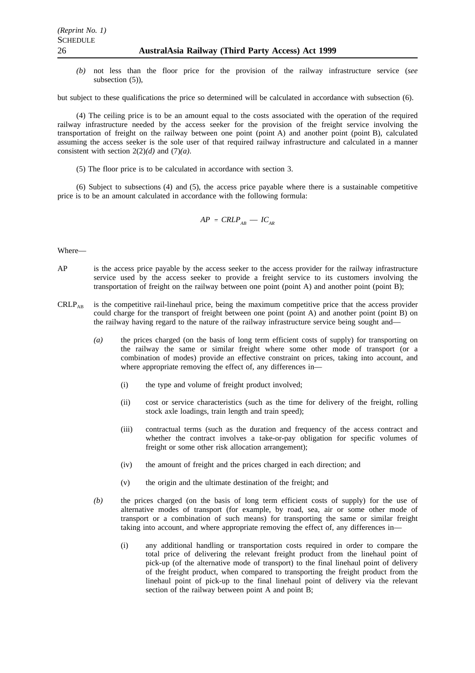*(b)* not less than the floor price for the provision of the railway infrastructure service (*see* subsection (5)),

but subject to these qualifications the price so determined will be calculated in accordance with subsection (6).

(4) The ceiling price is to be an amount equal to the costs associated with the operation of the required railway infrastructure needed by the access seeker for the provision of the freight service involving the transportation of freight on the railway between one point (point A) and another point (point B), calculated assuming the access seeker is the sole user of that required railway infrastructure and calculated in a manner consistent with section 2(2)*(d)* and (7)*(a)*.

(5) The floor price is to be calculated in accordance with section 3.

(6) Subject to subsections (4) and (5), the access price payable where there is a sustainable competitive price is to be an amount calculated in accordance with the following formula:

$$
AP = CRLP_{AB} - IC_{AR}
$$

#### Where—

- AP is the access price payable by the access seeker to the access provider for the railway infrastructure service used by the access seeker to provide a freight service to its customers involving the transportation of freight on the railway between one point (point A) and another point (point B);
- $CRLP_{AP}$  is the competitive rail-linehaul price, being the maximum competitive price that the access provider could charge for the transport of freight between one point (point A) and another point (point B) on the railway having regard to the nature of the railway infrastructure service being sought and—
	- *(a)* the prices charged (on the basis of long term efficient costs of supply) for transporting on the railway the same or similar freight where some other mode of transport (or a combination of modes) provide an effective constraint on prices, taking into account, and where appropriate removing the effect of, any differences in—
		- (i) the type and volume of freight product involved;
		- (ii) cost or service characteristics (such as the time for delivery of the freight, rolling stock axle loadings, train length and train speed);
		- (iii) contractual terms (such as the duration and frequency of the access contract and whether the contract involves a take-or-pay obligation for specific volumes of freight or some other risk allocation arrangement);
		- (iv) the amount of freight and the prices charged in each direction; and
		- (v) the origin and the ultimate destination of the freight; and
	- *(b)* the prices charged (on the basis of long term efficient costs of supply) for the use of alternative modes of transport (for example, by road, sea, air or some other mode of transport or a combination of such means) for transporting the same or similar freight taking into account, and where appropriate removing the effect of, any differences in—
		- (i) any additional handling or transportation costs required in order to compare the total price of delivering the relevant freight product from the linehaul point of pick-up (of the alternative mode of transport) to the final linehaul point of delivery of the freight product, when compared to transporting the freight product from the linehaul point of pick-up to the final linehaul point of delivery via the relevant section of the railway between point A and point B;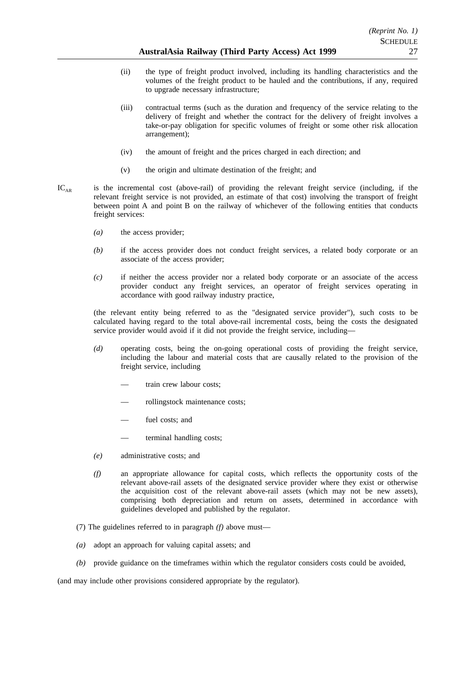- (ii) the type of freight product involved, including its handling characteristics and the volumes of the freight product to be hauled and the contributions, if any, required to upgrade necessary infrastructure;
- (iii) contractual terms (such as the duration and frequency of the service relating to the delivery of freight and whether the contract for the delivery of freight involves a take-or-pay obligation for specific volumes of freight or some other risk allocation arrangement);
- (iv) the amount of freight and the prices charged in each direction; and
- (v) the origin and ultimate destination of the freight; and
- $IC_{AR}$  is the incremental cost (above-rail) of providing the relevant freight service (including, if the relevant freight service is not provided, an estimate of that cost) involving the transport of freight between point A and point B on the railway of whichever of the following entities that conducts freight services:
	- *(a)* the access provider;
	- *(b)* if the access provider does not conduct freight services, a related body corporate or an associate of the access provider;
	- *(c)* if neither the access provider nor a related body corporate or an associate of the access provider conduct any freight services, an operator of freight services operating in accordance with good railway industry practice,

(the relevant entity being referred to as the "designated service provider"), such costs to be calculated having regard to the total above-rail incremental costs, being the costs the designated service provider would avoid if it did not provide the freight service, including—

- *(d)* operating costs, being the on-going operational costs of providing the freight service, including the labour and material costs that are causally related to the provision of the freight service, including
	- train crew labour costs:
	- rollingstock maintenance costs;
	- fuel costs; and
	- terminal handling costs;
- *(e)* administrative costs; and
- *(f)* an appropriate allowance for capital costs, which reflects the opportunity costs of the relevant above-rail assets of the designated service provider where they exist or otherwise the acquisition cost of the relevant above-rail assets (which may not be new assets), comprising both depreciation and return on assets, determined in accordance with guidelines developed and published by the regulator.
- (7) The guidelines referred to in paragraph *(f)* above must—
- *(a)* adopt an approach for valuing capital assets; and
- *(b)* provide guidance on the timeframes within which the regulator considers costs could be avoided,

(and may include other provisions considered appropriate by the regulator).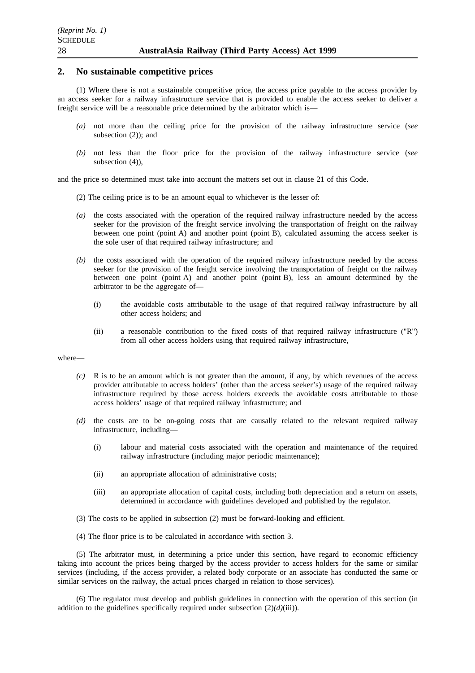## **2. No sustainable competitive prices**

(1) Where there is not a sustainable competitive price, the access price payable to the access provider by an access seeker for a railway infrastructure service that is provided to enable the access seeker to deliver a freight service will be a reasonable price determined by the arbitrator which is—

- *(a)* not more than the ceiling price for the provision of the railway infrastructure service (*see* subsection (2)); and
- *(b)* not less than the floor price for the provision of the railway infrastructure service (*see* subsection (4)),

and the price so determined must take into account the matters set out in clause 21 of this Code.

- (2) The ceiling price is to be an amount equal to whichever is the lesser of:
- *(a)* the costs associated with the operation of the required railway infrastructure needed by the access seeker for the provision of the freight service involving the transportation of freight on the railway between one point (point A) and another point (point B), calculated assuming the access seeker is the sole user of that required railway infrastructure; and
- *(b)* the costs associated with the operation of the required railway infrastructure needed by the access seeker for the provision of the freight service involving the transportation of freight on the railway between one point (point A) and another point (point B), less an amount determined by the arbitrator to be the aggregate of—
	- (i) the avoidable costs attributable to the usage of that required railway infrastructure by all other access holders; and
	- (ii) a reasonable contribution to the fixed costs of that required railway infrastructure ("R") from all other access holders using that required railway infrastructure,

#### where—

- *(c)* R is to be an amount which is not greater than the amount, if any, by which revenues of the access provider attributable to access holders' (other than the access seeker's) usage of the required railway infrastructure required by those access holders exceeds the avoidable costs attributable to those access holders' usage of that required railway infrastructure; and
- *(d)* the costs are to be on-going costs that are causally related to the relevant required railway infrastructure, including—
	- (i) labour and material costs associated with the operation and maintenance of the required railway infrastructure (including major periodic maintenance);
	- (ii) an appropriate allocation of administrative costs;
	- (iii) an appropriate allocation of capital costs, including both depreciation and a return on assets, determined in accordance with guidelines developed and published by the regulator.
- (3) The costs to be applied in subsection (2) must be forward-looking and efficient.
- (4) The floor price is to be calculated in accordance with section 3.

(5) The arbitrator must, in determining a price under this section, have regard to economic efficiency taking into account the prices being charged by the access provider to access holders for the same or similar services (including, if the access provider, a related body corporate or an associate has conducted the same or similar services on the railway, the actual prices charged in relation to those services).

(6) The regulator must develop and publish guidelines in connection with the operation of this section (in addition to the guidelines specifically required under subsection  $(2)(d)(iii)$ ).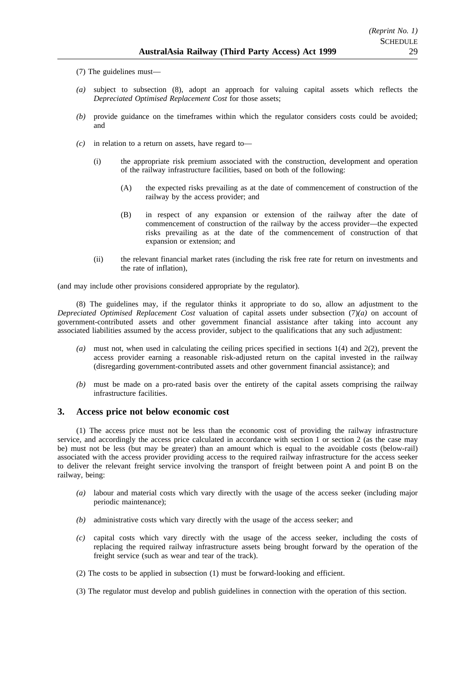- (7) The guidelines must—
- *(a)* subject to subsection (8), adopt an approach for valuing capital assets which reflects the *Depreciated Optimised Replacement Cost* for those assets;
- *(b)* provide guidance on the timeframes within which the regulator considers costs could be avoided; and
- *(c)* in relation to a return on assets, have regard to—
	- (i) the appropriate risk premium associated with the construction, development and operation of the railway infrastructure facilities, based on both of the following:
		- (A) the expected risks prevailing as at the date of commencement of construction of the railway by the access provider; and
		- (B) in respect of any expansion or extension of the railway after the date of commencement of construction of the railway by the access provider—the expected risks prevailing as at the date of the commencement of construction of that expansion or extension; and
	- (ii) the relevant financial market rates (including the risk free rate for return on investments and the rate of inflation),

(and may include other provisions considered appropriate by the regulator).

(8) The guidelines may, if the regulator thinks it appropriate to do so, allow an adjustment to the *Depreciated Optimised Replacement Cost* valuation of capital assets under subsection (7)*(a)* on account of government-contributed assets and other government financial assistance after taking into account any associated liabilities assumed by the access provider, subject to the qualifications that any such adjustment:

- *(a)* must not, when used in calculating the ceiling prices specified in sections 1(4) and 2(2), prevent the access provider earning a reasonable risk-adjusted return on the capital invested in the railway (disregarding government-contributed assets and other government financial assistance); and
- *(b)* must be made on a pro-rated basis over the entirety of the capital assets comprising the railway infrastructure facilities.

## **3. Access price not below economic cost**

(1) The access price must not be less than the economic cost of providing the railway infrastructure service, and accordingly the access price calculated in accordance with section 1 or section 2 (as the case may be) must not be less (but may be greater) than an amount which is equal to the avoidable costs (below-rail) associated with the access provider providing access to the required railway infrastructure for the access seeker to deliver the relevant freight service involving the transport of freight between point A and point B on the railway, being:

- *(a)* labour and material costs which vary directly with the usage of the access seeker (including major periodic maintenance);
- *(b)* administrative costs which vary directly with the usage of the access seeker; and
- *(c)* capital costs which vary directly with the usage of the access seeker, including the costs of replacing the required railway infrastructure assets being brought forward by the operation of the freight service (such as wear and tear of the track).
- (2) The costs to be applied in subsection (1) must be forward-looking and efficient.

(3) The regulator must develop and publish guidelines in connection with the operation of this section.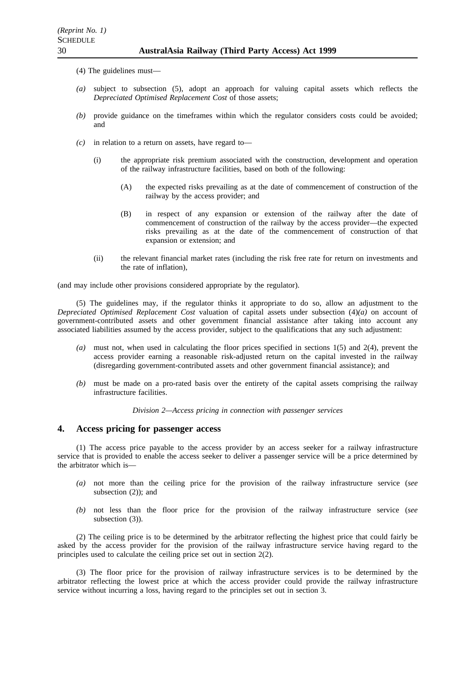- (4) The guidelines must—
- *(a)* subject to subsection (5), adopt an approach for valuing capital assets which reflects the *Depreciated Optimised Replacement Cost* of those assets;
- *(b)* provide guidance on the timeframes within which the regulator considers costs could be avoided; and
- *(c)* in relation to a return on assets, have regard to—
	- (i) the appropriate risk premium associated with the construction, development and operation of the railway infrastructure facilities, based on both of the following:
		- (A) the expected risks prevailing as at the date of commencement of construction of the railway by the access provider; and
		- (B) in respect of any expansion or extension of the railway after the date of commencement of construction of the railway by the access provider—the expected risks prevailing as at the date of the commencement of construction of that expansion or extension; and
	- (ii) the relevant financial market rates (including the risk free rate for return on investments and the rate of inflation),

(and may include other provisions considered appropriate by the regulator).

(5) The guidelines may, if the regulator thinks it appropriate to do so, allow an adjustment to the *Depreciated Optimised Replacement Cost* valuation of capital assets under subsection (4)*(a)* on account of government-contributed assets and other government financial assistance after taking into account any associated liabilities assumed by the access provider, subject to the qualifications that any such adjustment:

- *(a)* must not, when used in calculating the floor prices specified in sections 1(5) and 2(4), prevent the access provider earning a reasonable risk-adjusted return on the capital invested in the railway (disregarding government-contributed assets and other government financial assistance); and
- *(b)* must be made on a pro-rated basis over the entirety of the capital assets comprising the railway infrastructure facilities.

*Division 2—Access pricing in connection with passenger services*

## **4. Access pricing for passenger access**

(1) The access price payable to the access provider by an access seeker for a railway infrastructure service that is provided to enable the access seeker to deliver a passenger service will be a price determined by the arbitrator which is—

- *(a)* not more than the ceiling price for the provision of the railway infrastructure service (*see* subsection (2)); and
- *(b)* not less than the floor price for the provision of the railway infrastructure service (*see* subsection (3)).

(2) The ceiling price is to be determined by the arbitrator reflecting the highest price that could fairly be asked by the access provider for the provision of the railway infrastructure service having regard to the principles used to calculate the ceiling price set out in section 2(2).

(3) The floor price for the provision of railway infrastructure services is to be determined by the arbitrator reflecting the lowest price at which the access provider could provide the railway infrastructure service without incurring a loss, having regard to the principles set out in section 3.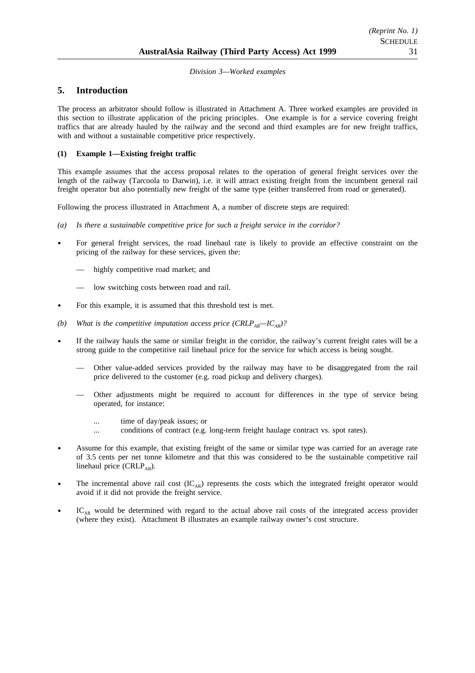## *Division 3—Worked examples*

## **5. Introduction**

The process an arbitrator should follow is illustrated in Attachment A. Three worked examples are provided in this section to illustrate application of the pricing principles. One example is for a service covering freight traffics that are already hauled by the railway and the second and third examples are for new freight traffics, with and without a sustainable competitive price respectively.

## **(1) Example 1—Existing freight traffic**

This example assumes that the access proposal relates to the operation of general freight services over the length of the railway (Tarcoola to Darwin), i.e. it will attract existing freight from the incumbent general rail freight operator but also potentially new freight of the same type (either transferred from road or generated).

Following the process illustrated in Attachment A, a number of discrete steps are required:

- *(a) Is there a sustainable competitive price for such a freight service in the corridor?*
- For general freight services, the road linehaul rate is likely to provide an effective constraint on the pricing of the railway for these services, given the:
	- highly competitive road market; and
	- low switching costs between road and rail.
- For this example, it is assumed that this threshold test is met.
- *(b)* What is the competitive imputation access price  $(CRLP_{AB} IC_{AB})$ ?
- If the railway hauls the same or similar freight in the corridor, the railway's current freight rates will be a strong guide to the competitive rail linehaul price for the service for which access is being sought.
	- Other value-added services provided by the railway may have to be disaggregated from the rail price delivered to the customer (e.g. road pickup and delivery charges).
	- Other adjustments might be required to account for differences in the type of service being operated, for instance:
		- ... time of day/peak issues; or
		- ... conditions of contract (e.g. long-term freight haulage contract vs. spot rates).
- Assume for this example, that existing freight of the same or similar type was carried for an average rate of 3.5 cents per net tonne kilometre and that this was considered to be the sustainable competitive rail linehaul price (CRLP<sub>AB</sub>).
- The incremental above rail cost  $(IC_{AR})$  represents the costs which the integrated freight operator would avoid if it did not provide the freight service.
- IC<sub>AR</sub> would be determined with regard to the actual above rail costs of the integrated access provider (where they exist). Attachment B illustrates an example railway owner's cost structure.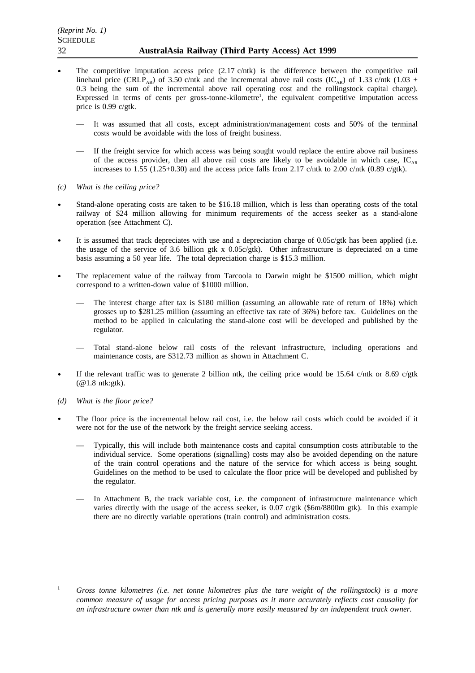- The competitive imputation access price  $(2.17 \text{ c/ntk})$  is the difference between the competitive rail linehaul price (CRLP<sub>AB</sub>) of 3.50 c/ntk and the incremental above rail costs (IC<sub>AB</sub>) of 1.33 c/ntk (1.03 + 0.3 being the sum of the incremental above rail operating cost and the rollingstock capital charge). Expressed in terms of cents per gross-tonne-kilometre<sup>1</sup>, the equivalent competitive imputation access price is 0.99 c/gtk.
	- It was assumed that all costs, except administration/management costs and 50% of the terminal costs would be avoidable with the loss of freight business.
	- If the freight service for which access was being sought would replace the entire above rail business of the access provider, then all above rail costs are likely to be avoidable in which case,  $IC_{AR}$ increases to 1.55 (1.25+0.30) and the access price falls from 2.17 c/ntk to 2.00 c/ntk (0.89 c/gtk).
- *(c) What is the ceiling price?*
- Stand-alone operating costs are taken to be \$16.18 million, which is less than operating costs of the total railway of \$24 million allowing for minimum requirements of the access seeker as a stand-alone operation (see Attachment C).
- It is assumed that track depreciates with use and a depreciation charge of 0.05c/gtk has been applied (i.e. the usage of the service of 3.6 billion gtk x  $0.05c/g$ tk). Other infrastructure is depreciated on a time basis assuming a 50 year life. The total depreciation charge is \$15.3 million.
- The replacement value of the railway from Tarcoola to Darwin might be \$1500 million, which might correspond to a written-down value of \$1000 million.
	- The interest charge after tax is \$180 million (assuming an allowable rate of return of 18%) which grosses up to \$281.25 million (assuming an effective tax rate of 36%) before tax. Guidelines on the method to be applied in calculating the stand-alone cost will be developed and published by the regulator.
	- Total stand-alone below rail costs of the relevant infrastructure, including operations and maintenance costs, are \$312.73 million as shown in Attachment C.
- If the relevant traffic was to generate 2 billion ntk, the ceiling price would be 15.64 c/ntk or 8.69 c/gtk (@1.8 ntk:gtk).
- *(d) What is the floor price?*
- The floor price is the incremental below rail cost, i.e. the below rail costs which could be avoided if it  $\bullet$ were not for the use of the network by the freight service seeking access.
	- Typically, this will include both maintenance costs and capital consumption costs attributable to the individual service. Some operations (signalling) costs may also be avoided depending on the nature of the train control operations and the nature of the service for which access is being sought. Guidelines on the method to be used to calculate the floor price will be developed and published by the regulator.
	- In Attachment B, the track variable cost, i.e. the component of infrastructure maintenance which varies directly with the usage of the access seeker, is 0.07 c/gtk (\$6m/8800m gtk). In this example there are no directly variable operations (train control) and administration costs.

<sup>1</sup> *Gross tonne kilometres (i.e. net tonne kilometres plus the tare weight of the rollingstock) is a more common measure of usage for access pricing purposes as it more accurately reflects cost causality for an infrastructure owner than ntk and is generally more easily measured by an independent track owner.*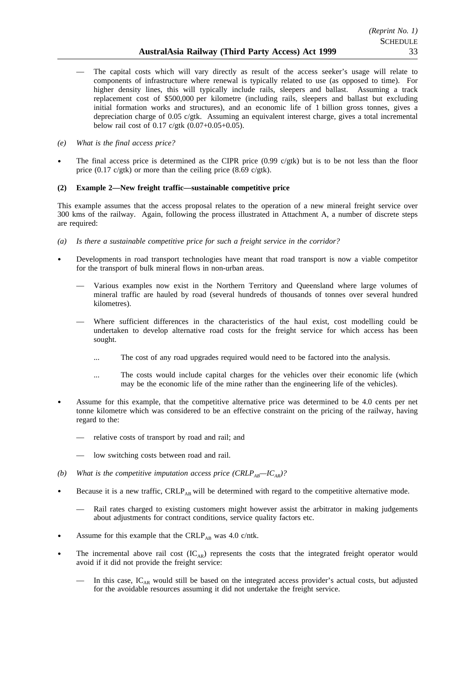- The capital costs which will vary directly as result of the access seeker's usage will relate to components of infrastructure where renewal is typically related to use (as opposed to time). For higher density lines, this will typically include rails, sleepers and ballast. Assuming a track replacement cost of \$500,000 per kilometre (including rails, sleepers and ballast but excluding initial formation works and structures), and an economic life of 1 billion gross tonnes, gives a depreciation charge of 0.05 c/gtk. Assuming an equivalent interest charge, gives a total incremental below rail cost of 0.17 c/gtk (0.07+0.05+0.05).
- *(e) What is the final access price?*
- The final access price is determined as the CIPR price (0.99 c/gtk) but is to be not less than the floor price (0.17 c/gtk) or more than the ceiling price (8.69 c/gtk).

## **(2) Example 2—New freight traffic—sustainable competitive price**

This example assumes that the access proposal relates to the operation of a new mineral freight service over 300 kms of the railway. Again, following the process illustrated in Attachment A, a number of discrete steps are required:

- *(a) Is there a sustainable competitive price for such a freight service in the corridor?*
- Developments in road transport technologies have meant that road transport is now a viable competitor for the transport of bulk mineral flows in non-urban areas.
	- Various examples now exist in the Northern Territory and Queensland where large volumes of mineral traffic are hauled by road (several hundreds of thousands of tonnes over several hundred kilometres).
	- Where sufficient differences in the characteristics of the haul exist, cost modelling could be undertaken to develop alternative road costs for the freight service for which access has been sought.
		- ... The cost of any road upgrades required would need to be factored into the analysis.
		- ... The costs would include capital charges for the vehicles over their economic life (which may be the economic life of the mine rather than the engineering life of the vehicles).
- Assume for this example, that the competitive alternative price was determined to be 4.0 cents per net tonne kilometre which was considered to be an effective constraint on the pricing of the railway, having regard to the:
	- relative costs of transport by road and rail; and
	- low switching costs between road and rail.
- *(b)* What is the competitive imputation access price  $(CRLP_{AB} IC_{AB})$ ?
- Because it is a new traffic, CRLP<sub>AB</sub> will be determined with regard to the competitive alternative mode.
	- Rail rates charged to existing customers might however assist the arbitrator in making judgements about adjustments for contract conditions, service quality factors etc.
- Assume for this example that the CRLP<sub>AB</sub> was 4.0 c/ntk.
- The incremental above rail cost  $(IC_{AR})$  represents the costs that the integrated freight operator would avoid if it did not provide the freight service:
	- In this case,  $IC_{AR}$  would still be based on the integrated access provider's actual costs, but adjusted for the avoidable resources assuming it did not undertake the freight service.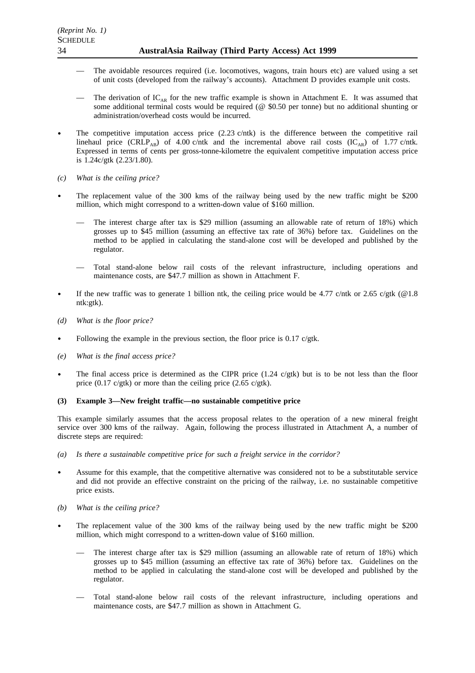- The avoidable resources required (i.e. locomotives, wagons, train hours etc) are valued using a set of unit costs (developed from the railway's accounts). Attachment D provides example unit costs.
- The derivation of  $IC_{AR}$  for the new traffic example is shown in Attachment E. It was assumed that some additional terminal costs would be required (@ \$0.50 per tonne) but no additional shunting or administration/overhead costs would be incurred.
- The competitive imputation access price (2.23 c/ntk) is the difference between the competitive rail linehaul price (CRLP<sub>AB</sub>) of 4.00 c/ntk and the incremental above rail costs (IC<sub>AR</sub>) of 1.77 c/ntk. Expressed in terms of cents per gross-tonne-kilometre the equivalent competitive imputation access price is 1.24c/gtk (2.23/1.80).
- *(c) What is the ceiling price?*
- The replacement value of the 300 kms of the railway being used by the new traffic might be \$200 million, which might correspond to a written-down value of \$160 million.
	- The interest charge after tax is \$29 million (assuming an allowable rate of return of 18%) which grosses up to \$45 million (assuming an effective tax rate of 36%) before tax. Guidelines on the method to be applied in calculating the stand-alone cost will be developed and published by the regulator.
	- Total stand-alone below rail costs of the relevant infrastructure, including operations and maintenance costs, are \$47.7 million as shown in Attachment F.
- If the new traffic was to generate 1 billion ntk, the ceiling price would be 4.77 c/ntk or 2.65 c/gtk (@1.8) ntk:gtk).
- *(d) What is the floor price?*
- Following the example in the previous section, the floor price is 0.17 c/gtk.
- *(e) What is the final access price?*
- The final access price is determined as the CIPR price  $(1.24 \text{ c/gtk})$  but is to be not less than the floor price (0.17 c/gtk) or more than the ceiling price (2.65 c/gtk).

## **(3) Example 3—New freight traffic—no sustainable competitive price**

This example similarly assumes that the access proposal relates to the operation of a new mineral freight service over 300 kms of the railway. Again, following the process illustrated in Attachment A, a number of discrete steps are required:

- *(a) Is there a sustainable competitive price for such a freight service in the corridor?*
- Assume for this example, that the competitive alternative was considered not to be a substitutable service and did not provide an effective constraint on the pricing of the railway, i.e. no sustainable competitive price exists.
- *(b) What is the ceiling price?*
- The replacement value of the 300 kms of the railway being used by the new traffic might be \$200  $\bullet$ million, which might correspond to a written-down value of \$160 million.
	- The interest charge after tax is \$29 million (assuming an allowable rate of return of 18%) which grosses up to \$45 million (assuming an effective tax rate of 36%) before tax. Guidelines on the method to be applied in calculating the stand-alone cost will be developed and published by the regulator.
	- Total stand-alone below rail costs of the relevant infrastructure, including operations and maintenance costs, are \$47.7 million as shown in Attachment G.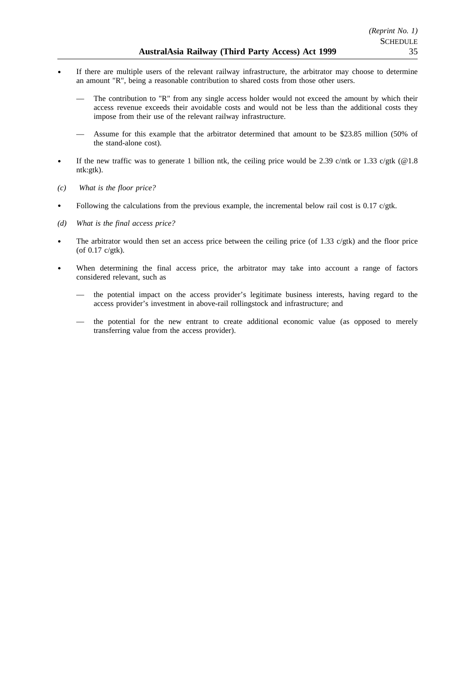- If there are multiple users of the relevant railway infrastructure, the arbitrator may choose to determine an amount "R", being a reasonable contribution to shared costs from those other users.
	- The contribution to "R" from any single access holder would not exceed the amount by which their access revenue exceeds their avoidable costs and would not be less than the additional costs they impose from their use of the relevant railway infrastructure.
	- Assume for this example that the arbitrator determined that amount to be \$23.85 million (50% of the stand-alone cost).
- If the new traffic was to generate 1 billion ntk, the ceiling price would be 2.39 c/ntk or 1.33 c/gtk (@1.8) ntk:gtk).
- *(c) What is the floor price?*
- $\bullet$ Following the calculations from the previous example, the incremental below rail cost is  $0.17 \text{ c/gtk}$ .
- *(d) What is the final access price?*
- The arbitrator would then set an access price between the ceiling price (of 1.33  $c$ /gtk) and the floor price (of 0.17 c/gtk).
- When determining the final access price, the arbitrator may take into account a range of factors considered relevant, such as
	- the potential impact on the access provider's legitimate business interests, having regard to the access provider's investment in above-rail rollingstock and infrastructure; and
	- the potential for the new entrant to create additional economic value (as opposed to merely transferring value from the access provider).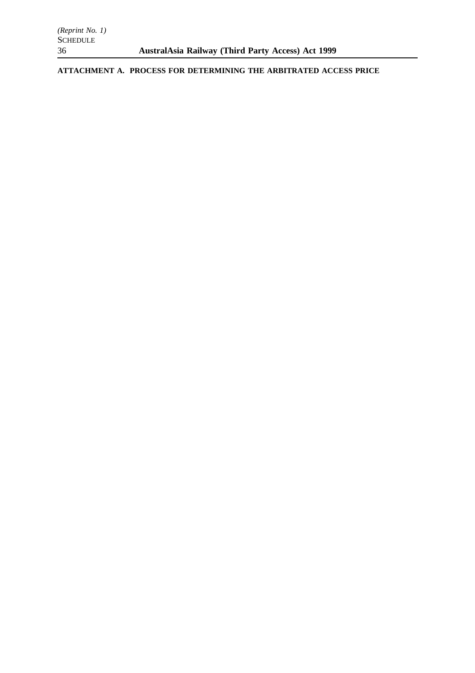**ATTACHMENT A. PROCESS FOR DETERMINING THE ARBITRATED ACCESS PRICE**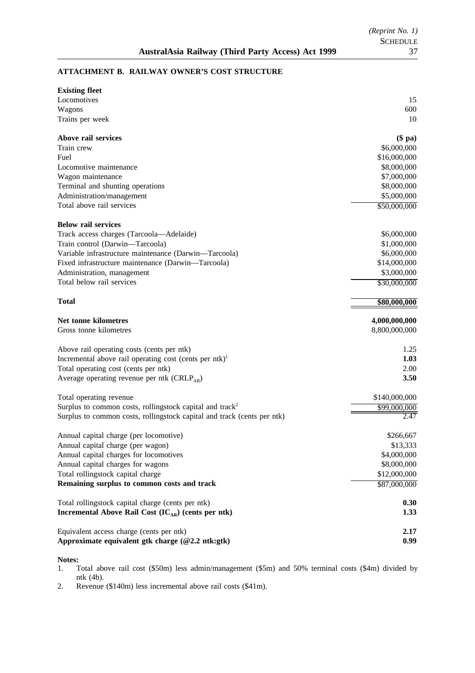## **ATTACHMENT B. RAILWAY OWNER'S COST STRUCTURE**

| <b>Existing fleet</b>                                                   |               |
|-------------------------------------------------------------------------|---------------|
| Locomotives                                                             | 15            |
| Wagons                                                                  | 600           |
| Trains per week                                                         | 10            |
| Above rail services                                                     | $(\$$ pa $)$  |
| Train crew                                                              | \$6,000,000   |
| Fuel                                                                    | \$16,000,000  |
| Locomotive maintenance                                                  | \$8,000,000   |
| Wagon maintenance                                                       | \$7,000,000   |
| Terminal and shunting operations                                        | \$8,000,000   |
| Administration/management                                               | \$5,000,000   |
| Total above rail services                                               | \$50,000,000  |
| <b>Below rail services</b>                                              |               |
| Track access charges (Tarcoola—Adelaide)                                | \$6,000,000   |
| Train control (Darwin-Tarcoola)                                         | \$1,000,000   |
| Variable infrastructure maintenance (Darwin-Tarcoola)                   | \$6,000,000   |
| Fixed infrastructure maintenance (Darwin-Tarcoola)                      | \$14,000,000  |
| Administration, management                                              | \$3,000,000   |
| Total below rail services                                               | \$30,000,000  |
| <b>Total</b>                                                            | \$80,000,000  |
| Net tonne kilometres                                                    | 4,000,000,000 |
| Gross tonne kilometres                                                  | 8,800,000,000 |
| Above rail operating costs (cents per ntk)                              | 1.25          |
| Incremental above rail operating cost (cents per ntk) $^{1}$            | 1.03          |
| Total operating cost (cents per ntk)                                    | 2.00          |
| Average operating revenue per ntk $(CRLP_{AB})$                         | 3.50          |
| Total operating revenue                                                 | \$140,000,000 |
| Surplus to common costs, rollingstock capital and track <sup>2</sup>    | \$99,000,000  |
| Surplus to common costs, rollingstock capital and track (cents per ntk) | 2.47          |
| Annual capital charge (per locomotive)                                  | \$266,667     |
| Annual capital charge (per wagon)                                       | \$13,333      |
| Annual capital charges for locomotives                                  | \$4,000,000   |
| Annual capital charges for wagons                                       | \$8,000,000   |
| Total rollingstock capital charge                                       | \$12,000,000  |
| Remaining surplus to common costs and track                             | \$87,000,000  |
| Total rollingstock capital charge (cents per ntk)                       | 0.30          |
| Incremental Above Rail Cost $(IC_{AR})$ (cents per ntk)                 | 1.33          |
| Equivalent access charge (cents per ntk)                                | 2.17          |
| Approximate equivalent gtk charge (@2.2 ntk:gtk)                        | 0.99          |

- **Notes:**<br>1. **T** 1. Total above rail cost (\$50m) less admin/management (\$5m) and 50% terminal costs (\$4m) divided by ntk (4b).
- 2. Revenue (\$140m) less incremental above rail costs (\$41m).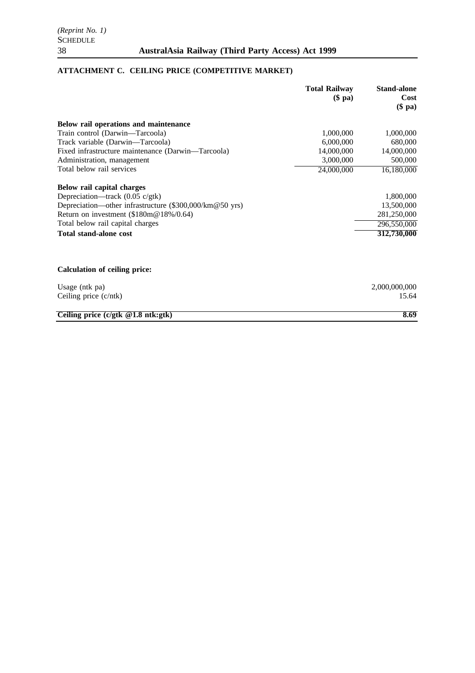# **ATTACHMENT C. CEILING PRICE (COMPETITIVE MARKET)**

|                                                         | <b>Total Railway</b><br>$(\$$ pa) | <b>Stand-alone</b><br>Cost<br>$$$ pa $)$ |
|---------------------------------------------------------|-----------------------------------|------------------------------------------|
|                                                         |                                   |                                          |
| Below rail operations and maintenance                   |                                   |                                          |
| Train control (Darwin-Tarcoola)                         | 1,000,000                         | 1,000,000                                |
| Track variable (Darwin-Tarcoola)                        | 6,000,000                         | 680,000                                  |
| Fixed infrastructure maintenance (Darwin—Tarcoola)      | 14,000,000                        | 14,000,000                               |
| Administration, management                              | 3,000,000                         | 500,000                                  |
| Total below rail services                               | 24,000,000                        | 16,180,000                               |
| Below rail capital charges                              |                                   |                                          |
| Depreciation—track $(0.05 \text{ c/gtk})$               |                                   | 1,800,000                                |
| Depreciation—other infrastructure (\$300,000/km@50 yrs) |                                   | 13,500,000                               |
| Return on investment (\$180m@18%/0.64)                  |                                   | 281,250,000                              |
| Total below rail capital charges                        |                                   | 296,550,000                              |
| <b>Total stand-alone cost</b>                           |                                   | 312,730,000                              |
| <b>Calculation of ceiling price:</b>                    |                                   |                                          |
|                                                         |                                   |                                          |
| Usage (ntk pa)                                          |                                   | 2,000,000,000                            |
| Ceiling price $(c/ntk)$                                 |                                   | 15.64                                    |
| Ceiling price $(c/gtk \t@1.8 ntk:gtk)$                  |                                   | 8.69                                     |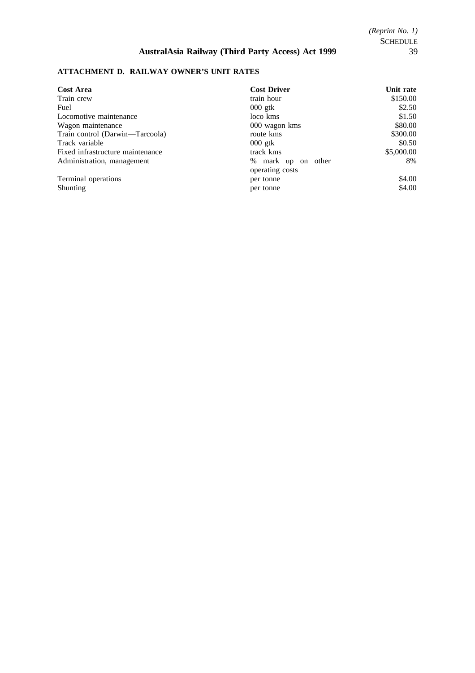## **ATTACHMENT D. RAILWAY OWNER'S UNIT RATES**

| <b>Cost Area</b>                 | <b>Cost Driver</b>    | Unit rate  |
|----------------------------------|-----------------------|------------|
| Train crew                       | train hour            | \$150.00   |
| Fuel                             | $000$ gtk             | \$2.50     |
| Locomotive maintenance           | loco kms              | \$1.50     |
| Wagon maintenance                | 000 wagon kms         | \$80.00    |
| Train control (Darwin—Tarcoola)  | route kms             | \$300.00   |
| Track variable                   | $000$ gtk             | \$0.50     |
| Fixed infrastructure maintenance | track kms             | \$5,000.00 |
| Administration, management       | % mark up on<br>other | 8%         |
|                                  | operating costs       |            |
| Terminal operations              | per tonne             | \$4.00     |
| Shunting                         | per tonne             | \$4.00     |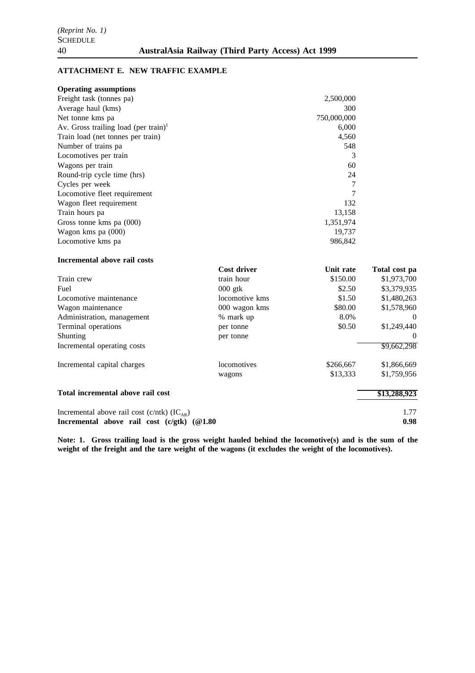## **ATTACHMENT E. NEW TRAFFIC EXAMPLE**

| <b>Operating assumptions</b>                                                                |                    |                               |               |
|---------------------------------------------------------------------------------------------|--------------------|-------------------------------|---------------|
| Freight task (tonnes pa)                                                                    |                    | 2,500,000                     |               |
| Average haul (kms)                                                                          |                    | 300                           |               |
| Net tonne kms pa                                                                            |                    | 750,000,000                   |               |
| Av. Gross trailing load (per train) <sup>1</sup>                                            |                    | 6,000                         |               |
| Train load (net tonnes per train)                                                           |                    | 4,560                         |               |
| Number of trains pa                                                                         |                    | 548                           |               |
| Locomotives per train                                                                       |                    | 3                             |               |
| Wagons per train                                                                            |                    | 60                            |               |
| Round-trip cycle time (hrs)                                                                 |                    | 24                            |               |
| Cycles per week                                                                             |                    | 7                             |               |
| Locomotive fleet requirement                                                                |                    | 7                             |               |
| Wagon fleet requirement<br>Train hours pa<br>Gross tonne kms pa (000)<br>Wagon kms pa (000) |                    | 132                           |               |
|                                                                                             |                    | 13,158<br>1,351,974<br>19,737 |               |
|                                                                                             |                    |                               |               |
|                                                                                             |                    |                               |               |
| Locomotive kms pa                                                                           |                    | 986,842                       |               |
| Incremental above rail costs                                                                |                    |                               |               |
|                                                                                             | <b>Cost driver</b> | Unit rate                     | Total cost pa |
| Train crew                                                                                  | train hour         | \$150.00                      | \$1,973,700   |
| Fuel                                                                                        | $000$ gtk          | \$2.50                        | \$3,379,935   |
| Locomotive maintenance                                                                      | locomotive kms     | \$1.50                        | \$1,480,263   |
| Wagon maintenance                                                                           | 000 wagon kms      | \$80.00                       | \$1,578,960   |
| Administration, management                                                                  | % mark up          | 8.0%                          | $\theta$      |
| Terminal operations                                                                         | per tonne          | \$0.50                        | \$1,249,440   |
| Shunting                                                                                    | per tonne          |                               |               |
| Incremental operating costs                                                                 |                    |                               | \$9,662,298   |
| Incremental capital charges                                                                 | locomotives        | \$266,667                     | \$1,866,669   |
|                                                                                             | wagons             | \$13,333                      | \$1,759,956   |
| Total incremental above rail cost                                                           |                    |                               | \$13,288,923  |
| Incremental above rail cost (c/ntk) $(IC_{AR})$                                             |                    |                               | 1.77          |
| Incremental above rail cost (c/gtk) (@1.80                                                  |                    |                               | 0.98          |

**Note: 1. Gross trailing load is the gross weight hauled behind the locomotive(s) and is the sum of the weight of the freight and the tare weight of the wagons (it excludes the weight of the locomotives).**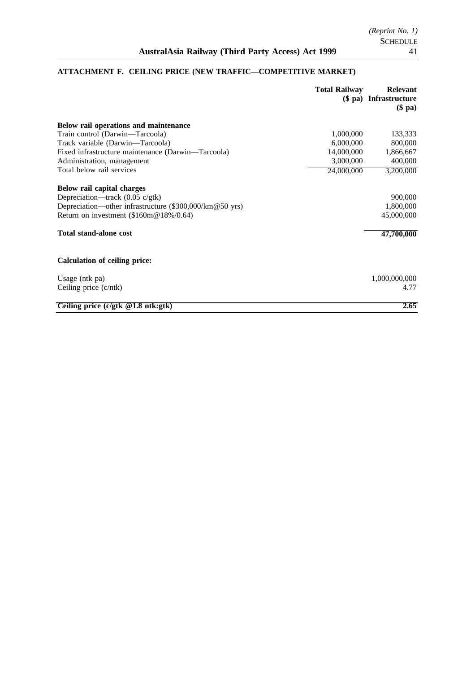|                                                         | <b>Total Railway</b> | <b>Relevant</b><br>(\$ pa) Infrastructure<br>$(\$$ pa) |
|---------------------------------------------------------|----------------------|--------------------------------------------------------|
| Below rail operations and maintenance                   |                      |                                                        |
| Train control (Darwin-Tarcoola)                         | 1,000,000            | 133,333                                                |
| Track variable (Darwin—Tarcoola)                        | 6,000,000            | 800,000                                                |
| Fixed infrastructure maintenance (Darwin—Tarcoola)      | 14,000,000           | 1,866,667                                              |
| Administration, management                              | 3,000,000            | 400,000                                                |
| Total below rail services                               | 24,000,000           | 3,200,000                                              |
| Below rail capital charges                              |                      |                                                        |
| Depreciation—track $(0.05 \text{ c/gtk})$               |                      | 900,000                                                |
| Depreciation—other infrastructure (\$300,000/km@50 yrs) |                      | 1,800,000                                              |
| Return on investment (\$160m@18%/0.64)                  |                      | 45,000,000                                             |
| <b>Total stand-alone cost</b>                           |                      | 47,700,000                                             |
| <b>Calculation of ceiling price:</b>                    |                      |                                                        |
| Usage (ntk pa)                                          |                      | 1,000,000,000                                          |
| Ceiling price (c/ntk)                                   |                      | 4.77                                                   |
| Ceiling price $(c/gtk \t@1.8 ntk:gtk)$                  |                      | 2.65                                                   |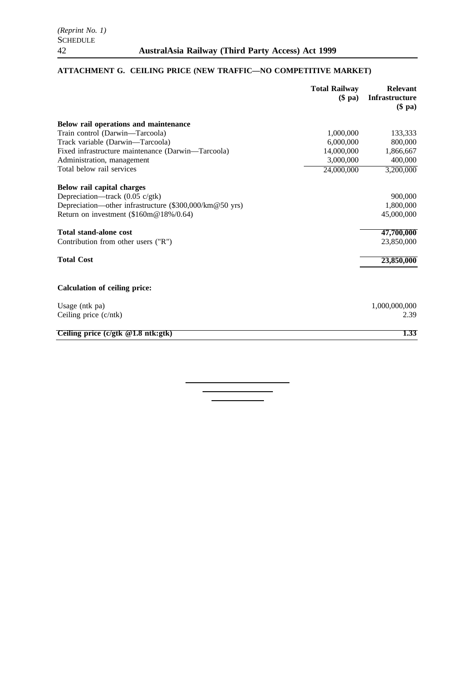# **ATTACHMENT G. CEILING PRICE (NEW TRAFFIC—NO COMPETITIVE MARKET)**

|                                                         | <b>Total Railway</b><br>$$$ pa) | <b>Relevant</b><br><b>Infrastructure</b><br>$($p\mathbf{a})$ |
|---------------------------------------------------------|---------------------------------|--------------------------------------------------------------|
| Below rail operations and maintenance                   |                                 |                                                              |
| Train control (Darwin-Tarcoola)                         | 1,000,000                       | 133,333                                                      |
| Track variable (Darwin-Tarcoola)                        | 6,000,000                       | 800,000                                                      |
| Fixed infrastructure maintenance (Darwin-Tarcoola)      | 14,000,000                      | 1,866,667                                                    |
| Administration, management                              | 3,000,000                       | 400,000                                                      |
| Total below rail services                               | 24,000,000                      | 3,200,000                                                    |
| Below rail capital charges                              |                                 |                                                              |
| Depreciation—track (0.05 c/gtk)                         |                                 | 900,000                                                      |
| Depreciation—other infrastructure (\$300,000/km@50 yrs) |                                 | 1,800,000                                                    |
| Return on investment (\$160m@18%/0.64)                  |                                 | 45,000,000                                                   |
| <b>Total stand-alone cost</b>                           |                                 | 47,700,000                                                   |
| Contribution from other users ("R")                     |                                 | 23,850,000                                                   |
| <b>Total Cost</b>                                       |                                 | 23,850,000                                                   |
| <b>Calculation of ceiling price:</b>                    |                                 |                                                              |
| Usage (ntk pa)                                          |                                 | 1,000,000,000                                                |
| Ceiling price (c/ntk)                                   |                                 | 2.39                                                         |
| Ceiling price $(c/gtk \t@1.8 ntk:gtk)$                  |                                 | 1.33                                                         |